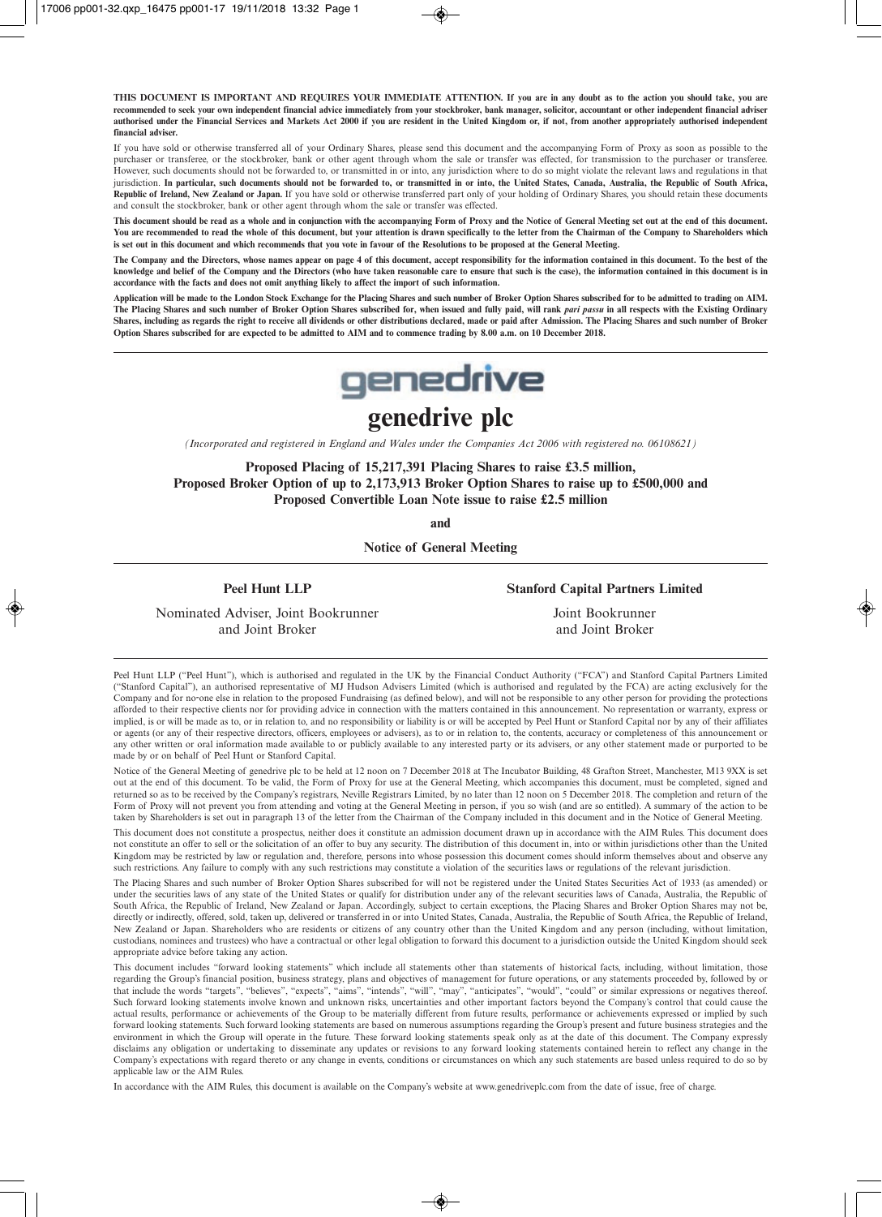**THIS DOCUMENT IS IMPORTANT AND REQUIRES YOUR IMMEDIATE ATTENTION. If you are in any doubt as to the action you should take, you are recommended to seek your own independent financial advice immediately from your stockbroker, bank manager, solicitor, accountant or other independent financial adviser authorised under the Financial Services and Markets Act 2000 if you are resident in the United Kingdom or, if not, from another appropriately authorised independent financial adviser.**

If you have sold or otherwise transferred all of your Ordinary Shares, please send this document and the accompanying Form of Proxy as soon as possible to the purchaser or transferee, or the stockbroker, bank or other agent through whom the sale or transfer was effected, for transmission to the purchaser or transferee. However, such documents should not be forwarded to, or transmitted in or into, any jurisdiction where to do so might violate the relevant laws and regulations in that jurisdiction. **In particular, such documents should not be forwarded to, or transmitted in or into, the United States, Canada, Australia, the Republic of South Africa, Republic of Ireland, New Zealand or Japan.** If you have sold or otherwise transferred part only of your holding of Ordinary Shares, you should retain these documents and consult the stockbroker, bank or other agent through whom the sale or transfer was effected.

**This document should be read as a whole and in conjunction with the accompanying Form of Proxy and the Notice of General Meeting set out at the end of this document. You are recommended to read the whole of this document, but your attention is drawn specifically to the letter from the Chairman of the Company to Shareholders which is set out in this document and which recommends that you vote in favour of the Resolutions to be proposed at the General Meeting.**

**The Company and the Directors, whose names appear on page 4 of this document, accept responsibility for the information contained in this document. To the best of the knowledge and belief of the Company and the Directors (who have taken reasonable care to ensure that such is the case), the information contained in this document is in accordance with the facts and does not omit anything likely to affect the import of such information.**

**Application will be made to the London Stock Exchange for the Placing Shares and such number of Broker Option Shares subscribed for to be admitted to trading on AIM. The Placing Shares and such number of Broker Option Shares subscribed for, when issued and fully paid, will rank** *pari passu* **in all respects with the Existing Ordinary Shares, including as regards the right to receive all dividends or other distributions declared, made or paid after Admission. The Placing Shares and such number of Broker Option Shares subscribed for are expected to be admitted to AIM and to commence trading by 8.00 a.m. on 10 December 2018.**



# **genedrive plc**

*(Incorporated and registered in England and Wales under the Companies Act 2006 with registered no. 06108621)*

**Proposed Placing of 15,217,391 Placing Shares to raise £3.5 million, Proposed Broker Option of up to 2,173,913 Broker Option Shares to raise up to £500,000 and Proposed Convertible Loan Note issue to raise £2.5 million**

**and** 

**Notice of General Meeting**

**Peel Hunt LLP** Stanford Capital Partners Limited

 Nominated Adviser, Joint Bookrunner Joint Bookrunner and Joint Broker and Joint Broker

Peel Hunt LLP ("Peel Hunt"), which is authorised and regulated in the UK by the Financial Conduct Authority ("FCA") and Stanford Capital Partners Limited ("Stanford Capital"), an authorised representative of MJ Hudson Advisers Limited (which is authorised and regulated by the FCA) are acting exclusively for the Company and for no-one else in relation to the proposed Fundraising (as defined below), and will not be responsible to any other person for providing the protections afforded to their respective clients nor for providing advice in connection with the matters contained in this announcement. No representation or warranty, express or implied, is or will be made as to, or in relation to, and no responsibility or liability is or will be accepted by Peel Hunt or Stanford Capital nor by any of their affiliates or agents (or any of their respective directors, officers, employees or advisers), as to or in relation to, the contents, accuracy or completeness of this announcement or any other written or oral information made available to or publicly available to any interested party or its advisers, or any other statement made or purported to be made by or on behalf of Peel Hunt or Stanford Capital.

Notice of the General Meeting of genedrive plc to be held at 12 noon on 7 December 2018 at The Incubator Building, 48 Grafton Street, Manchester, M13 9XX is set out at the end of this document. To be valid, the Form of Proxy for use at the General Meeting, which accompanies this document, must be completed, signed and returned so as to be received by the Company's registrars, Neville Registrars Limited, by no later than 12 noon on 5 December 2018. The completion and return of the Form of Proxy will not prevent you from attending and voting at the General Meeting in person, if you so wish (and are so entitled). A summary of the action to be taken by Shareholders is set out in paragraph 13 of the letter from the Chairman of the Company included in this document and in the Notice of General Meeting.

This document does not constitute a prospectus, neither does it constitute an admission document drawn up in accordance with the AIM Rules. This document does not constitute an offer to sell or the solicitation of an offer to buy any security. The distribution of this document in, into or within jurisdictions other than the United Kingdom may be restricted by law or regulation and, therefore, persons into whose possession this document comes should inform themselves about and observe any such restrictions. Any failure to comply with any such restrictions may constitute a violation of the securities laws or regulations of the relevant jurisdiction.

The Placing Shares and such number of Broker Option Shares subscribed for will not be registered under the United States Securities Act of 1933 (as amended) or under the securities laws of any state of the United States or qualify for distribution under any of the relevant securities laws of Canada, Australia, the Republic of South Africa, the Republic of Ireland, New Zealand or Japan. Accordingly, subject to certain exceptions, the Placing Shares and Broker Option Shares may not be, directly or indirectly, offered, sold, taken up, delivered or transferred in or into United States, Canada, Australia, the Republic of South Africa, the Republic of Ireland, New Zealand or Japan. Shareholders who are residents or citizens of any country other than the United Kingdom and any person (including, without limitation, custodians, nominees and trustees) who have a contractual or other legal obligation to forward this document to a jurisdiction outside the United Kingdom should seek appropriate advice before taking any action.

This document includes "forward looking statements" which include all statements other than statements of historical facts, including, without limitation, those regarding the Group's financial position, business strategy, plans and objectives of management for future operations, or any statements proceeded by, followed by or that include the words "targets", "believes", "expects", "aims", "intends", "will", "may", "anticipates", "would", "could" or similar expressions or negatives thereof. Such forward looking statements involve known and unknown risks, uncertainties and other important factors beyond the Company's control that could cause the actual results, performance or achievements of the Group to be materially different from future results, performance or achievements expressed or implied by such forward looking statements. Such forward looking statements are based on numerous assumptions regarding the Group's present and future business strategies and the environment in which the Group will operate in the future. These forward looking statements speak only as at the date of this document. The Company expressly disclaims any obligation or undertaking to disseminate any updates or revisions to any forward looking statements contained herein to reflect any change in the Company's expectations with regard thereto or any change in events, conditions or circumstances on which any such statements are based unless required to do so by applicable law or the AIM Rules.

In accordance with the AIM Rules, this document is available on the Company's website at www.genedriveplc.com from the date of issue, free of charge.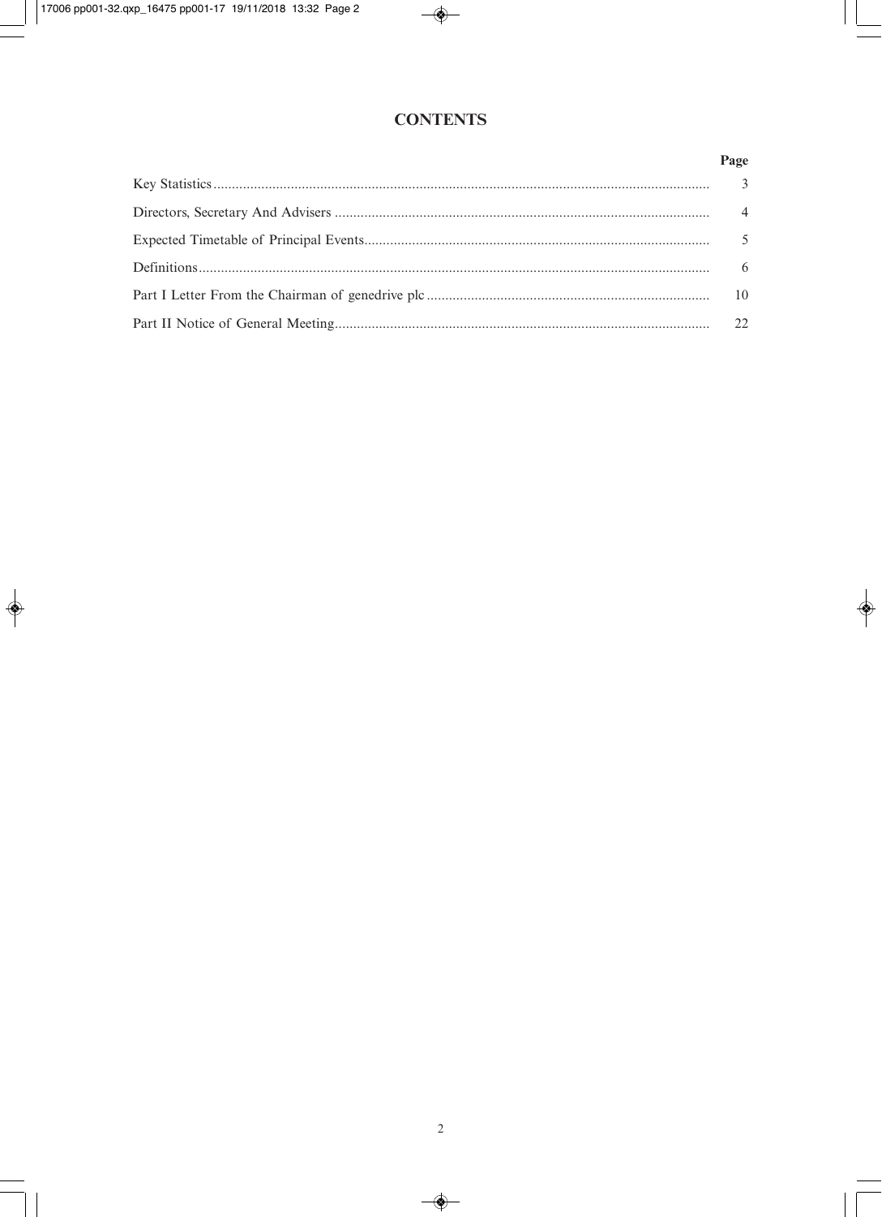## **CONTENTS**

## Page

| 22 |
|----|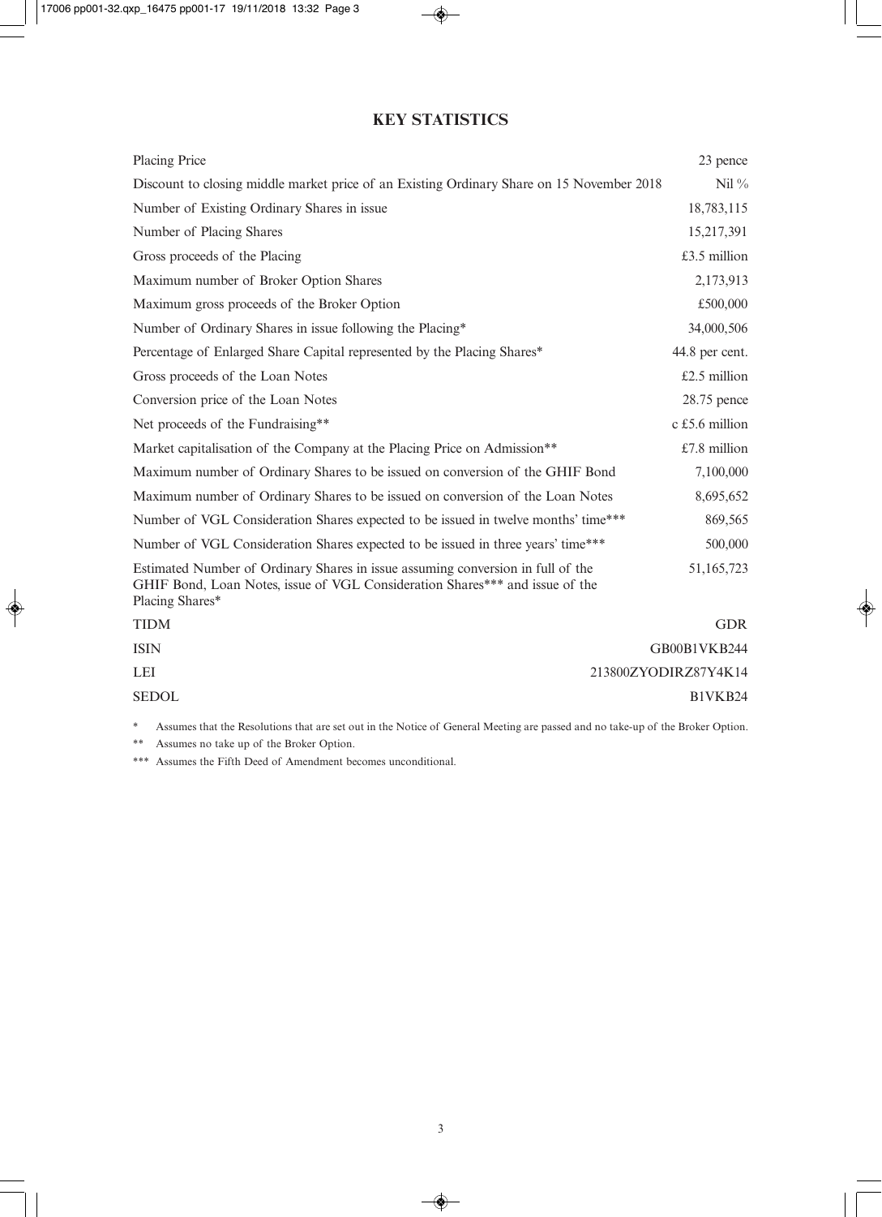## **KEY STATISTICS**

| Placing Price                                                                                                                                                                      | 23 pence             |
|------------------------------------------------------------------------------------------------------------------------------------------------------------------------------------|----------------------|
| Discount to closing middle market price of an Existing Ordinary Share on 15 November 2018                                                                                          | Nil $\%$             |
| Number of Existing Ordinary Shares in issue                                                                                                                                        | 18,783,115           |
| Number of Placing Shares                                                                                                                                                           | 15,217,391           |
| Gross proceeds of the Placing                                                                                                                                                      | £3.5 million         |
| Maximum number of Broker Option Shares                                                                                                                                             | 2,173,913            |
| Maximum gross proceeds of the Broker Option                                                                                                                                        | £500,000             |
| Number of Ordinary Shares in issue following the Placing*                                                                                                                          | 34,000,506           |
| Percentage of Enlarged Share Capital represented by the Placing Shares*                                                                                                            | 44.8 per cent.       |
| Gross proceeds of the Loan Notes                                                                                                                                                   | £2.5 million         |
| Conversion price of the Loan Notes                                                                                                                                                 | 28.75 pence          |
| Net proceeds of the Fundraising**                                                                                                                                                  | c £5.6 million       |
| Market capitalisation of the Company at the Placing Price on Admission**                                                                                                           | $£7.8$ million       |
| Maximum number of Ordinary Shares to be issued on conversion of the GHIF Bond                                                                                                      | 7,100,000            |
| Maximum number of Ordinary Shares to be issued on conversion of the Loan Notes                                                                                                     | 8,695,652            |
| Number of VGL Consideration Shares expected to be issued in twelve months' time***                                                                                                 | 869,565              |
| Number of VGL Consideration Shares expected to be issued in three years' time***                                                                                                   | 500,000              |
| Estimated Number of Ordinary Shares in issue assuming conversion in full of the<br>GHIF Bond, Loan Notes, issue of VGL Consideration Shares*** and issue of the<br>Placing Shares* | 51,165,723           |
| <b>TIDM</b>                                                                                                                                                                        | <b>GDR</b>           |
| <b>ISIN</b>                                                                                                                                                                        | GB00B1VKB244         |
| LEI                                                                                                                                                                                | 213800ZYODIRZ87Y4K14 |
| <b>SEDOL</b>                                                                                                                                                                       | B1VKB24              |

\* Assumes that the Resolutions that are set out in the Notice of General Meeting are passed and no take-up of the Broker Option.

\*\* Assumes no take up of the Broker Option.

\*\*\* Assumes the Fifth Deed of Amendment becomes unconditional.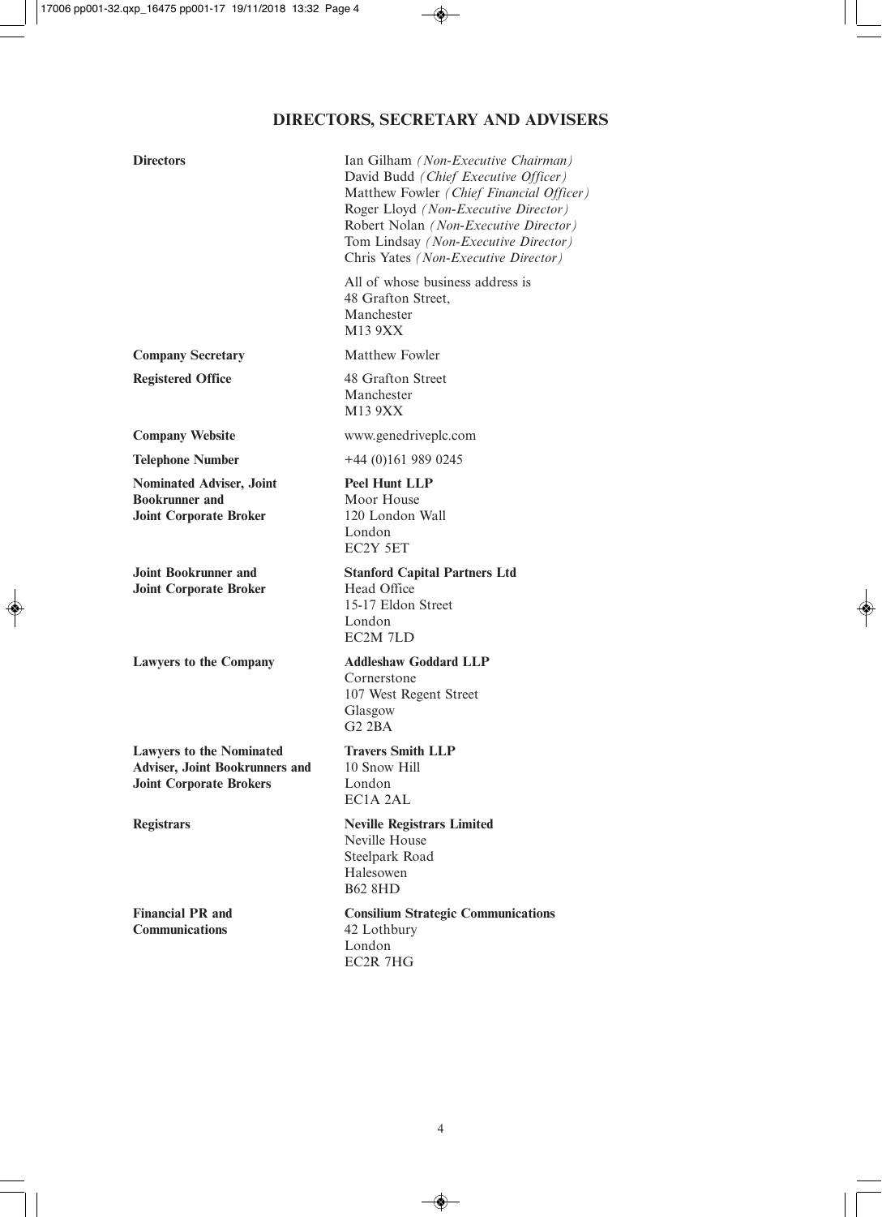# **DIRECTORS, SECRETARY AND ADVISERS**

| <b>Directors</b>                                                                                           | Ian Gilham (Non-Executive Chairman)<br>David Budd (Chief Executive Officer)<br>Matthew Fowler (Chief Financial Officer)<br>Roger Lloyd (Non-Executive Director)<br>Robert Nolan (Non-Executive Director)<br>Tom Lindsay (Non-Executive Director)<br>Chris Yates (Non-Executive Director) |
|------------------------------------------------------------------------------------------------------------|------------------------------------------------------------------------------------------------------------------------------------------------------------------------------------------------------------------------------------------------------------------------------------------|
|                                                                                                            | All of whose business address is<br>48 Grafton Street,<br>Manchester<br>M13 9XX                                                                                                                                                                                                          |
| <b>Company Secretary</b>                                                                                   | <b>Matthew Fowler</b>                                                                                                                                                                                                                                                                    |
| <b>Registered Office</b>                                                                                   | 48 Grafton Street<br>Manchester<br>M13 9XX                                                                                                                                                                                                                                               |
| <b>Company Website</b>                                                                                     | www.genedriveplc.com                                                                                                                                                                                                                                                                     |
| <b>Telephone Number</b>                                                                                    | $+44(0)1619890245$                                                                                                                                                                                                                                                                       |
| Nominated Adviser, Joint<br><b>Bookrunner</b> and<br><b>Joint Corporate Broker</b>                         | <b>Peel Hunt LLP</b><br>Moor House<br>120 London Wall<br>London<br>EC2Y 5ET                                                                                                                                                                                                              |
| <b>Joint Bookrunner and</b><br><b>Joint Corporate Broker</b>                                               | <b>Stanford Capital Partners Ltd</b><br>Head Office<br>15-17 Eldon Street<br>London<br>EC2M 7LD                                                                                                                                                                                          |
| <b>Lawyers to the Company</b>                                                                              | <b>Addleshaw Goddard LLP</b><br>Cornerstone<br>107 West Regent Street<br>Glasgow<br>$G2$ $2BA$                                                                                                                                                                                           |
| <b>Lawyers to the Nominated</b><br><b>Adviser, Joint Bookrunners and</b><br><b>Joint Corporate Brokers</b> | <b>Travers Smith LLP</b><br>10 Snow Hill<br>London<br>EC1A 2AL                                                                                                                                                                                                                           |
| <b>Registrars</b>                                                                                          | <b>Neville Registrars Limited</b><br>Neville House<br>Steelpark Road<br>Halesowen<br><b>B62 8HD</b>                                                                                                                                                                                      |
| <b>Financial PR and</b><br><b>Communications</b>                                                           | <b>Consilium Strategic Communications</b><br>42 Lothbury<br>London<br>EC2R 7HG                                                                                                                                                                                                           |
|                                                                                                            |                                                                                                                                                                                                                                                                                          |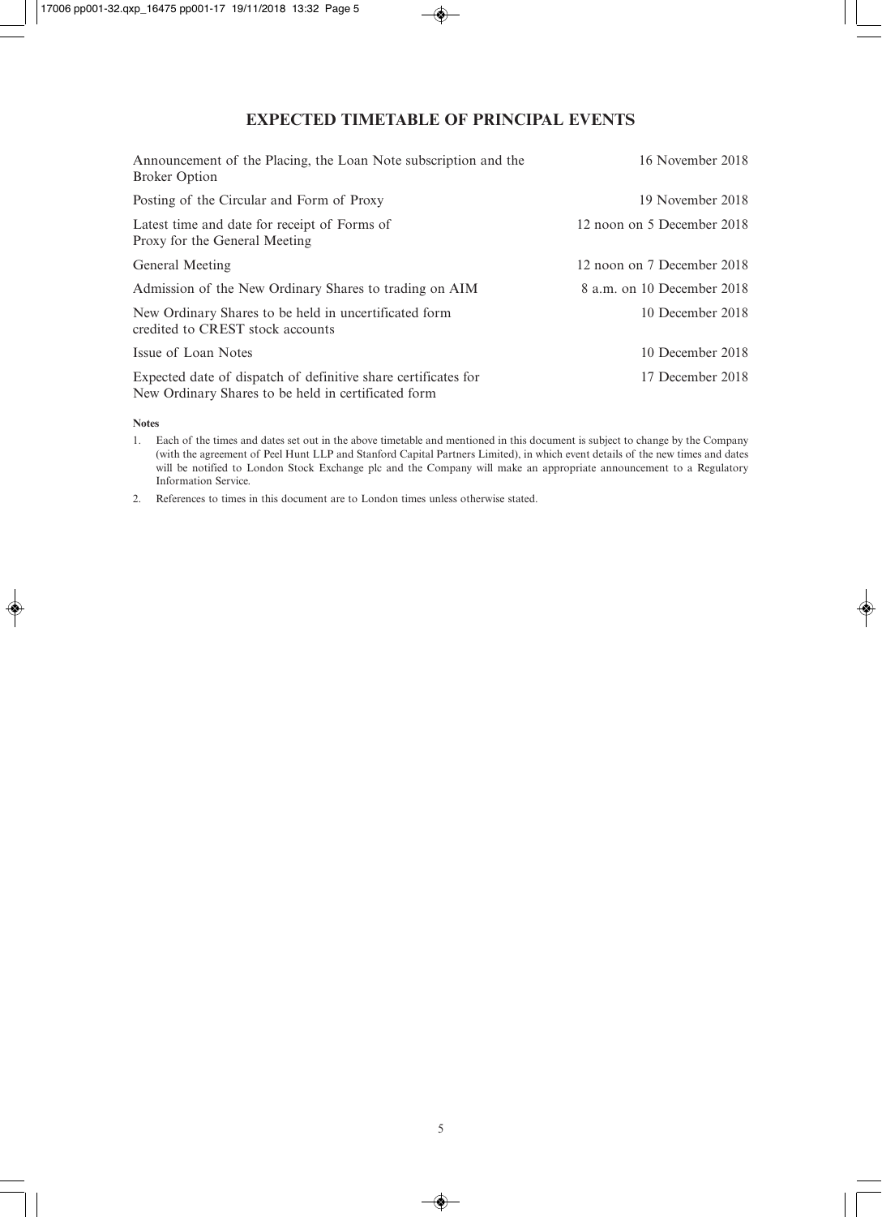## **EXPECTED TIMETABLE OF PRINCIPAL EVENTS**

| Announcement of the Placing, the Loan Note subscription and the<br><b>Broker Option</b>                               | 16 November 2018           |
|-----------------------------------------------------------------------------------------------------------------------|----------------------------|
| Posting of the Circular and Form of Proxy                                                                             | 19 November 2018           |
| Latest time and date for receipt of Forms of<br>Proxy for the General Meeting                                         | 12 noon on 5 December 2018 |
| General Meeting                                                                                                       | 12 noon on 7 December 2018 |
| Admission of the New Ordinary Shares to trading on AIM                                                                | 8 a.m. on 10 December 2018 |
| New Ordinary Shares to be held in uncertificated form<br>credited to CREST stock accounts                             | 10 December 2018           |
| Issue of Loan Notes                                                                                                   | 10 December 2018           |
| Expected date of dispatch of definitive share certificates for<br>New Ordinary Shares to be held in certificated form | 17 December 2018           |

**Notes**

1. Each of the times and dates set out in the above timetable and mentioned in this document is subject to change by the Company (with the agreement of Peel Hunt LLP and Stanford Capital Partners Limited), in which event details of the new times and dates will be notified to London Stock Exchange plc and the Company will make an appropriate announcement to a Regulatory Information Service.

2. References to times in this document are to London times unless otherwise stated.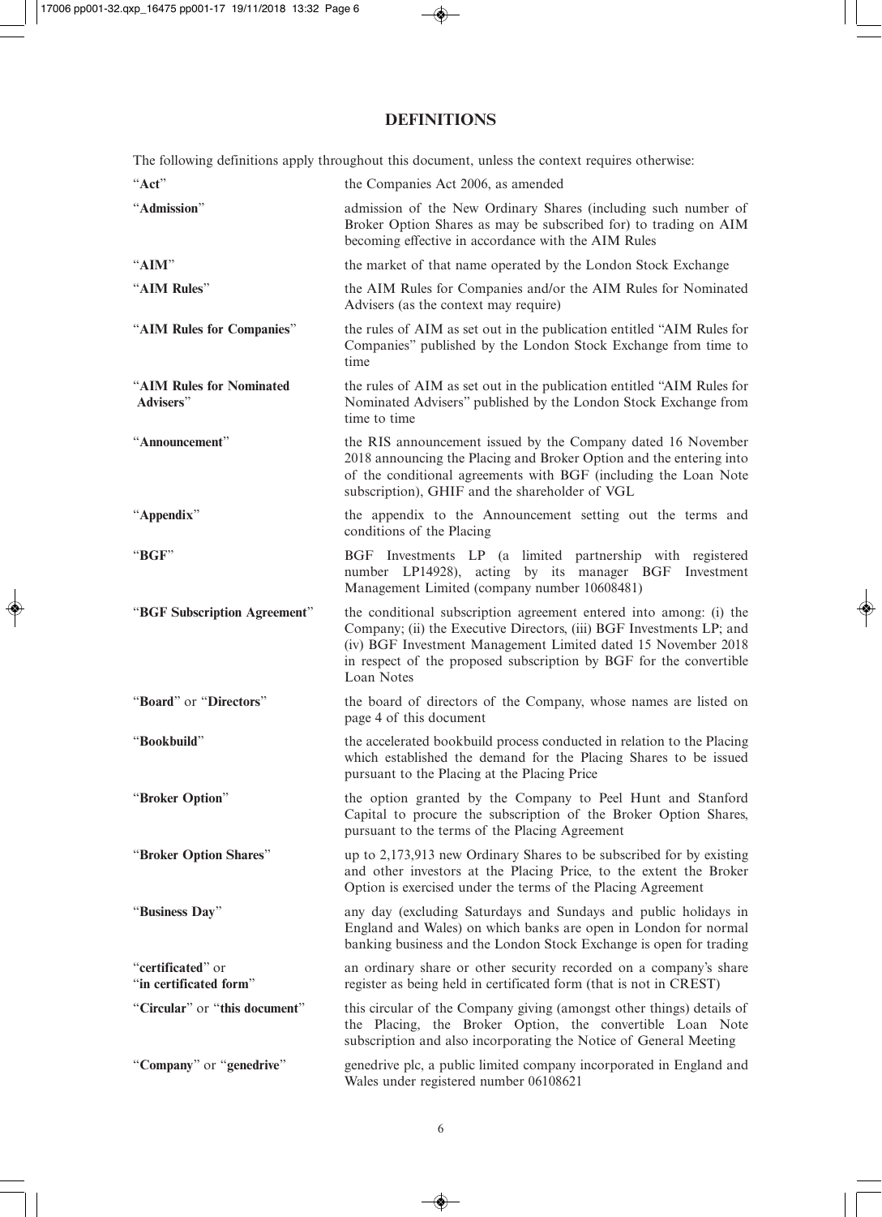## **DEFINITIONS**

The following definitions apply throughout this document, unless the context requires otherwise:

| "Act"                                       | the Companies Act 2006, as amended                                                                                                                                                                                                                                                              |
|---------------------------------------------|-------------------------------------------------------------------------------------------------------------------------------------------------------------------------------------------------------------------------------------------------------------------------------------------------|
| "Admission"                                 | admission of the New Ordinary Shares (including such number of<br>Broker Option Shares as may be subscribed for) to trading on AIM<br>becoming effective in accordance with the AIM Rules                                                                                                       |
| "AIM"                                       | the market of that name operated by the London Stock Exchange                                                                                                                                                                                                                                   |
| "AIM Rules"                                 | the AIM Rules for Companies and/or the AIM Rules for Nominated<br>Advisers (as the context may require)                                                                                                                                                                                         |
| "AIM Rules for Companies"                   | the rules of AIM as set out in the publication entitled "AIM Rules for<br>Companies" published by the London Stock Exchange from time to<br>time                                                                                                                                                |
| "AIM Rules for Nominated<br>Advisers"       | the rules of AIM as set out in the publication entitled "AIM Rules for<br>Nominated Advisers" published by the London Stock Exchange from<br>time to time                                                                                                                                       |
| "Announcement"                              | the RIS announcement issued by the Company dated 16 November<br>2018 announcing the Placing and Broker Option and the entering into<br>of the conditional agreements with BGF (including the Loan Note<br>subscription), GHIF and the shareholder of VGL                                        |
| "Appendix"                                  | the appendix to the Announcement setting out the terms and<br>conditions of the Placing                                                                                                                                                                                                         |
| "BGF"                                       | BGF Investments LP (a limited partnership with registered<br>number LP14928), acting by its manager BGF Investment<br>Management Limited (company number 10608481)                                                                                                                              |
| "BGF Subscription Agreement"                | the conditional subscription agreement entered into among: (i) the<br>Company; (ii) the Executive Directors, (iii) BGF Investments LP; and<br>(iv) BGF Investment Management Limited dated 15 November 2018<br>in respect of the proposed subscription by BGF for the convertible<br>Loan Notes |
| "Board" or "Directors"                      | the board of directors of the Company, whose names are listed on<br>page 4 of this document                                                                                                                                                                                                     |
| "Bookbuild"                                 | the accelerated bookbuild process conducted in relation to the Placing<br>which established the demand for the Placing Shares to be issued<br>pursuant to the Placing at the Placing Price                                                                                                      |
| "Broker Option"                             | the option granted by the Company to Peel Hunt and Stanford<br>Capital to procure the subscription of the Broker Option Shares,<br>pursuant to the terms of the Placing Agreement                                                                                                               |
| "Broker Option Shares"                      | up to 2,173,913 new Ordinary Shares to be subscribed for by existing<br>and other investors at the Placing Price, to the extent the Broker<br>Option is exercised under the terms of the Placing Agreement                                                                                      |
| "Business Day"                              | any day (excluding Saturdays and Sundays and public holidays in<br>England and Wales) on which banks are open in London for normal<br>banking business and the London Stock Exchange is open for trading                                                                                        |
| "certificated" or<br>"in certificated form" | an ordinary share or other security recorded on a company's share<br>register as being held in certificated form (that is not in CREST)                                                                                                                                                         |
| "Circular" or "this document"               | this circular of the Company giving (amongst other things) details of<br>the Placing, the Broker Option, the convertible Loan Note<br>subscription and also incorporating the Notice of General Meeting                                                                                         |
| "Company" or "genedrive"                    | genedrive plc, a public limited company incorporated in England and<br>Wales under registered number 06108621                                                                                                                                                                                   |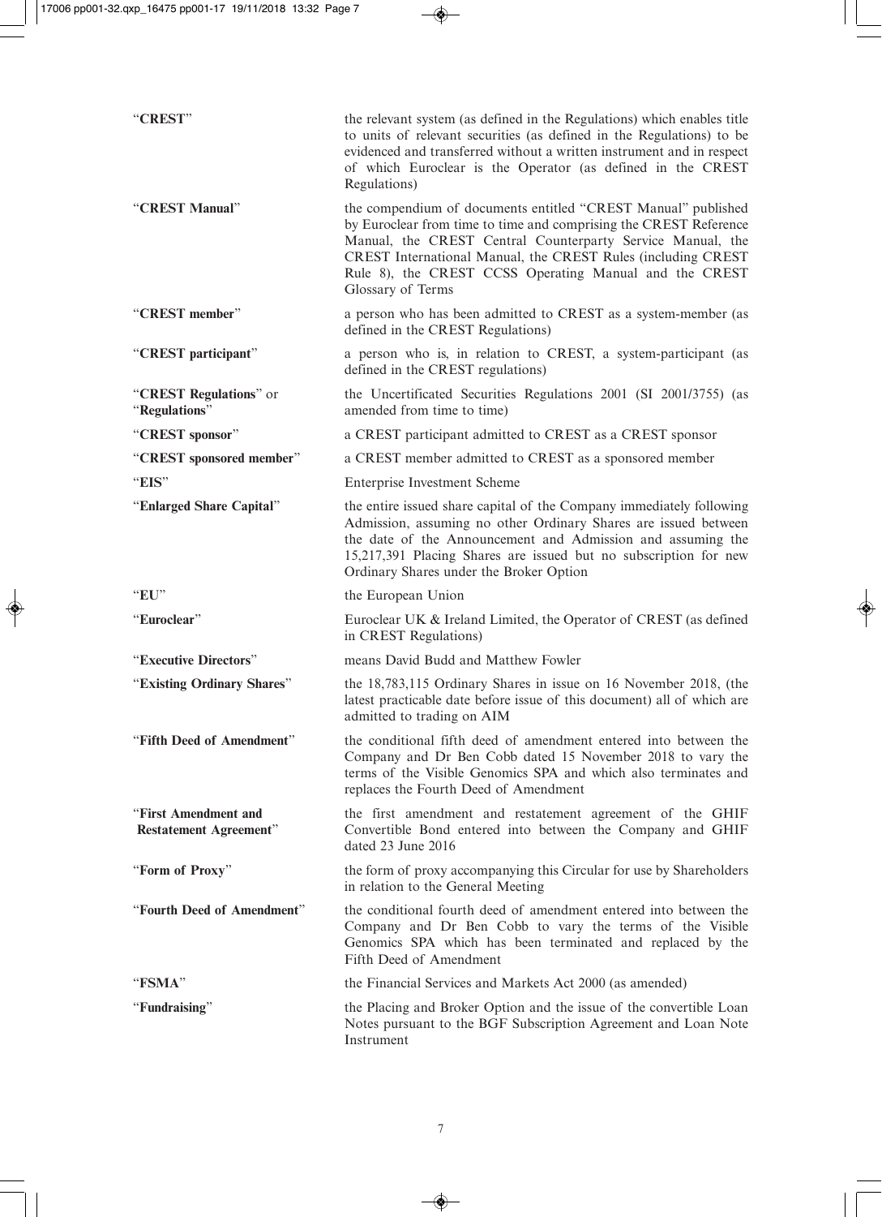| "CREST"                                               | the relevant system (as defined in the Regulations) which enables title<br>to units of relevant securities (as defined in the Regulations) to be<br>evidenced and transferred without a written instrument and in respect<br>of which Euroclear is the Operator (as defined in the CREST<br>Regulations)                                        |
|-------------------------------------------------------|-------------------------------------------------------------------------------------------------------------------------------------------------------------------------------------------------------------------------------------------------------------------------------------------------------------------------------------------------|
| "CREST Manual"                                        | the compendium of documents entitled "CREST Manual" published<br>by Euroclear from time to time and comprising the CREST Reference<br>Manual, the CREST Central Counterparty Service Manual, the<br>CREST International Manual, the CREST Rules (including CREST<br>Rule 8), the CREST CCSS Operating Manual and the CREST<br>Glossary of Terms |
| "CREST member"                                        | a person who has been admitted to CREST as a system-member (as<br>defined in the CREST Regulations)                                                                                                                                                                                                                                             |
| "CREST participant"                                   | a person who is, in relation to CREST, a system-participant (as<br>defined in the CREST regulations)                                                                                                                                                                                                                                            |
| "CREST Regulations" or<br>"Regulations"               | the Uncertificated Securities Regulations 2001 (SI 2001/3755) (as<br>amended from time to time)                                                                                                                                                                                                                                                 |
| "CREST sponsor"                                       | a CREST participant admitted to CREST as a CREST sponsor                                                                                                                                                                                                                                                                                        |
| "CREST sponsored member"                              | a CREST member admitted to CREST as a sponsored member                                                                                                                                                                                                                                                                                          |
| "EIS"                                                 | Enterprise Investment Scheme                                                                                                                                                                                                                                                                                                                    |
| "Enlarged Share Capital"                              | the entire issued share capital of the Company immediately following<br>Admission, assuming no other Ordinary Shares are issued between<br>the date of the Announcement and Admission and assuming the<br>15,217,391 Placing Shares are issued but no subscription for new<br>Ordinary Shares under the Broker Option                           |
| "EU"                                                  | the European Union                                                                                                                                                                                                                                                                                                                              |
| "Euroclear"                                           | Euroclear UK & Ireland Limited, the Operator of CREST (as defined<br>in CREST Regulations)                                                                                                                                                                                                                                                      |
| "Executive Directors"                                 | means David Budd and Matthew Fowler                                                                                                                                                                                                                                                                                                             |
| "Existing Ordinary Shares"                            | the 18,783,115 Ordinary Shares in issue on 16 November 2018, (the<br>latest practicable date before issue of this document) all of which are<br>admitted to trading on AIM                                                                                                                                                                      |
| "Fifth Deed of Amendment"                             | the conditional fifth deed of amendment entered into between the<br>Company and Dr Ben Cobb dated 15 November 2018 to vary the<br>terms of the Visible Genomics SPA and which also terminates and<br>replaces the Fourth Deed of Amendment                                                                                                      |
| "First Amendment and<br><b>Restatement Agreement"</b> | the first amendment and restatement agreement of the GHIF<br>Convertible Bond entered into between the Company and GHIF<br>dated 23 June 2016                                                                                                                                                                                                   |
| "Form of Proxy"                                       | the form of proxy accompanying this Circular for use by Shareholders<br>in relation to the General Meeting                                                                                                                                                                                                                                      |
| "Fourth Deed of Amendment"                            | the conditional fourth deed of amendment entered into between the<br>Company and Dr Ben Cobb to vary the terms of the Visible<br>Genomics SPA which has been terminated and replaced by the<br>Fifth Deed of Amendment                                                                                                                          |
| "FSMA"                                                | the Financial Services and Markets Act 2000 (as amended)                                                                                                                                                                                                                                                                                        |
| "Fundraising"                                         | the Placing and Broker Option and the issue of the convertible Loan<br>Notes pursuant to the BGF Subscription Agreement and Loan Note<br>Instrument                                                                                                                                                                                             |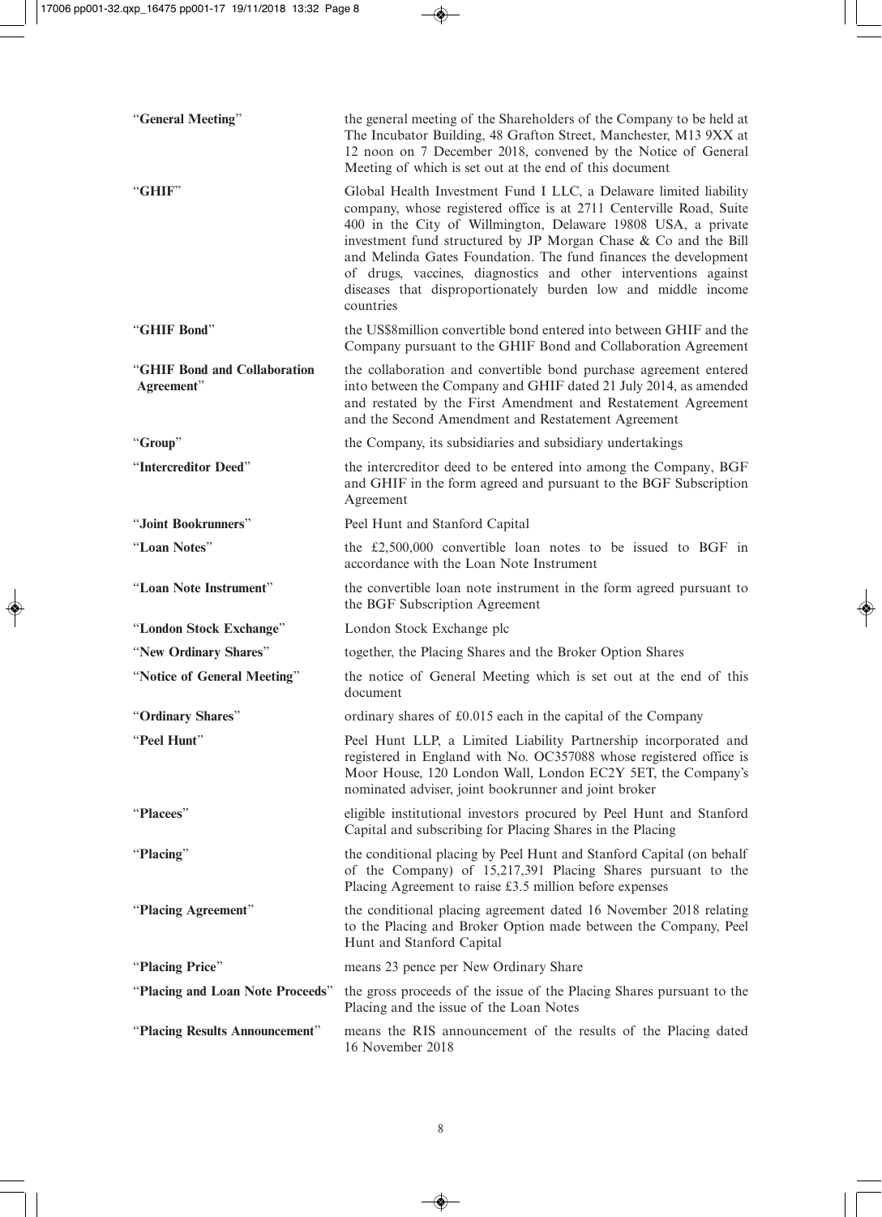| "General Meeting"                          | the general meeting of the Shareholders of the Company to be held at<br>The Incubator Building, 48 Grafton Street, Manchester, M13 9XX at<br>12 noon on 7 December 2018, convened by the Notice of General<br>Meeting of which is set out at the end of this document                                                                                                                                                                                                                            |
|--------------------------------------------|--------------------------------------------------------------------------------------------------------------------------------------------------------------------------------------------------------------------------------------------------------------------------------------------------------------------------------------------------------------------------------------------------------------------------------------------------------------------------------------------------|
| "GHIF"                                     | Global Health Investment Fund I LLC, a Delaware limited liability<br>company, whose registered office is at 2711 Centerville Road, Suite<br>400 in the City of Willmington, Delaware 19808 USA, a private<br>investment fund structured by JP Morgan Chase & Co and the Bill<br>and Melinda Gates Foundation. The fund finances the development<br>of drugs, vaccines, diagnostics and other interventions against<br>diseases that disproportionately burden low and middle income<br>countries |
| "GHIF Bond"                                | the US\$8 million convertible bond entered into between GHIF and the<br>Company pursuant to the GHIF Bond and Collaboration Agreement                                                                                                                                                                                                                                                                                                                                                            |
| "GHIF Bond and Collaboration<br>Agreement" | the collaboration and convertible bond purchase agreement entered<br>into between the Company and GHIF dated 21 July 2014, as amended<br>and restated by the First Amendment and Restatement Agreement<br>and the Second Amendment and Restatement Agreement                                                                                                                                                                                                                                     |
| "Group"                                    | the Company, its subsidiaries and subsidiary undertakings                                                                                                                                                                                                                                                                                                                                                                                                                                        |
| "Intercreditor Deed"                       | the intercreditor deed to be entered into among the Company, BGF<br>and GHIF in the form agreed and pursuant to the BGF Subscription<br>Agreement                                                                                                                                                                                                                                                                                                                                                |
| "Joint Bookrunners"                        | Peel Hunt and Stanford Capital                                                                                                                                                                                                                                                                                                                                                                                                                                                                   |
| "Loan Notes"                               | the $£2,500,000$ convertible loan notes to be issued to BGF in<br>accordance with the Loan Note Instrument                                                                                                                                                                                                                                                                                                                                                                                       |
| "Loan Note Instrument"                     | the convertible loan note instrument in the form agreed pursuant to<br>the BGF Subscription Agreement                                                                                                                                                                                                                                                                                                                                                                                            |
| "London Stock Exchange"                    | London Stock Exchange plc                                                                                                                                                                                                                                                                                                                                                                                                                                                                        |
| "New Ordinary Shares"                      | together, the Placing Shares and the Broker Option Shares                                                                                                                                                                                                                                                                                                                                                                                                                                        |
| "Notice of General Meeting"                | the notice of General Meeting which is set out at the end of this<br>document                                                                                                                                                                                                                                                                                                                                                                                                                    |
| "Ordinary Shares"                          | ordinary shares of £0.015 each in the capital of the Company                                                                                                                                                                                                                                                                                                                                                                                                                                     |
| "Peel Hunt"                                | Peel Hunt LLP, a Limited Liability Partnership incorporated and<br>registered in England with No. OC357088 whose registered office is<br>Moor House, 120 London Wall, London EC2Y 5ET, the Company's<br>nominated adviser, joint bookrunner and joint broker                                                                                                                                                                                                                                     |
| "Placees"                                  | eligible institutional investors procured by Peel Hunt and Stanford<br>Capital and subscribing for Placing Shares in the Placing                                                                                                                                                                                                                                                                                                                                                                 |
| "Placing"                                  | the conditional placing by Peel Hunt and Stanford Capital (on behalf<br>of the Company) of 15,217,391 Placing Shares pursuant to the<br>Placing Agreement to raise £3.5 million before expenses                                                                                                                                                                                                                                                                                                  |
| "Placing Agreement"                        | the conditional placing agreement dated 16 November 2018 relating<br>to the Placing and Broker Option made between the Company, Peel<br>Hunt and Stanford Capital                                                                                                                                                                                                                                                                                                                                |
| "Placing Price"                            | means 23 pence per New Ordinary Share                                                                                                                                                                                                                                                                                                                                                                                                                                                            |
| "Placing and Loan Note Proceeds"           | the gross proceeds of the issue of the Placing Shares pursuant to the<br>Placing and the issue of the Loan Notes                                                                                                                                                                                                                                                                                                                                                                                 |
| "Placing Results Announcement"             | means the RIS announcement of the results of the Placing dated<br>16 November 2018                                                                                                                                                                                                                                                                                                                                                                                                               |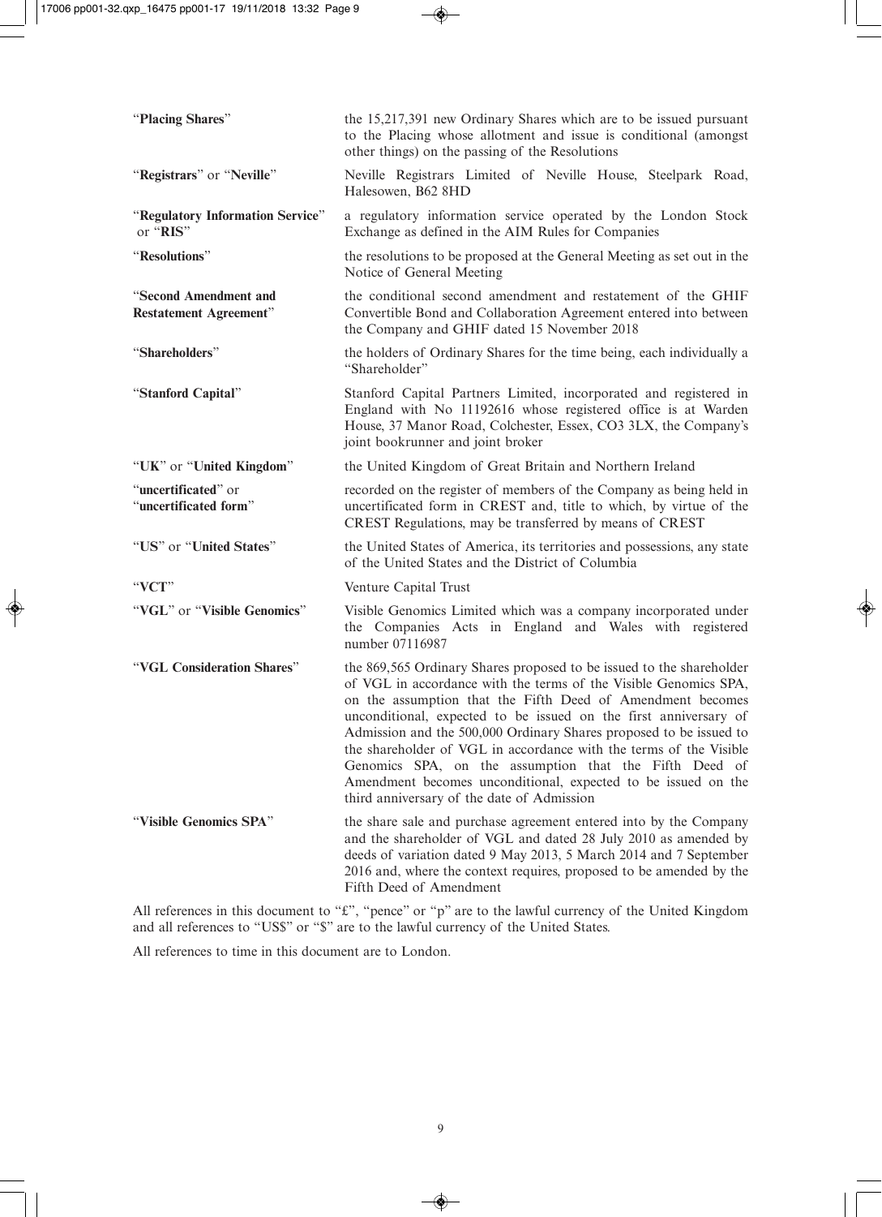| "Placing Shares"                                       | the 15,217,391 new Ordinary Shares which are to be issued pursuant<br>to the Placing whose allotment and issue is conditional (amongst<br>other things) on the passing of the Resolutions                                                                                                                                                                                                                                                                                                                                                                                                       |
|--------------------------------------------------------|-------------------------------------------------------------------------------------------------------------------------------------------------------------------------------------------------------------------------------------------------------------------------------------------------------------------------------------------------------------------------------------------------------------------------------------------------------------------------------------------------------------------------------------------------------------------------------------------------|
| "Registrars" or "Neville"                              | Neville Registrars Limited of Neville House, Steelpark Road,<br>Halesowen, B62 8HD                                                                                                                                                                                                                                                                                                                                                                                                                                                                                                              |
| "Regulatory Information Service"<br>or "RIS"           | a regulatory information service operated by the London Stock<br>Exchange as defined in the AIM Rules for Companies                                                                                                                                                                                                                                                                                                                                                                                                                                                                             |
| "Resolutions"                                          | the resolutions to be proposed at the General Meeting as set out in the<br>Notice of General Meeting                                                                                                                                                                                                                                                                                                                                                                                                                                                                                            |
| "Second Amendment and<br><b>Restatement Agreement"</b> | the conditional second amendment and restatement of the GHIF<br>Convertible Bond and Collaboration Agreement entered into between<br>the Company and GHIF dated 15 November 2018                                                                                                                                                                                                                                                                                                                                                                                                                |
| "Shareholders"                                         | the holders of Ordinary Shares for the time being, each individually a<br>"Shareholder"                                                                                                                                                                                                                                                                                                                                                                                                                                                                                                         |
| "Stanford Capital"                                     | Stanford Capital Partners Limited, incorporated and registered in<br>England with No 11192616 whose registered office is at Warden<br>House, 37 Manor Road, Colchester, Essex, CO3 3LX, the Company's<br>joint bookrunner and joint broker                                                                                                                                                                                                                                                                                                                                                      |
| "UK" or "United Kingdom"                               | the United Kingdom of Great Britain and Northern Ireland                                                                                                                                                                                                                                                                                                                                                                                                                                                                                                                                        |
| "uncertificated" or<br>"uncertificated form"           | recorded on the register of members of the Company as being held in<br>uncertificated form in CREST and, title to which, by virtue of the<br>CREST Regulations, may be transferred by means of CREST                                                                                                                                                                                                                                                                                                                                                                                            |
| "US" or "United States"                                | the United States of America, its territories and possessions, any state<br>of the United States and the District of Columbia                                                                                                                                                                                                                                                                                                                                                                                                                                                                   |
| "VCT"                                                  | Venture Capital Trust                                                                                                                                                                                                                                                                                                                                                                                                                                                                                                                                                                           |
| "VGL" or "Visible Genomics"                            | Visible Genomics Limited which was a company incorporated under<br>the Companies Acts in England and Wales with registered<br>number 07116987                                                                                                                                                                                                                                                                                                                                                                                                                                                   |
| "VGL Consideration Shares"                             | the 869,565 Ordinary Shares proposed to be issued to the shareholder<br>of VGL in accordance with the terms of the Visible Genomics SPA,<br>on the assumption that the Fifth Deed of Amendment becomes<br>unconditional, expected to be issued on the first anniversary of<br>Admission and the 500,000 Ordinary Shares proposed to be issued to<br>the shareholder of VGL in accordance with the terms of the Visible<br>Genomics SPA, on the assumption that the Fifth Deed of<br>Amendment becomes unconditional, expected to be issued on the<br>third anniversary of the date of Admission |
| "Visible Genomics SPA"                                 | the share sale and purchase agreement entered into by the Company<br>and the shareholder of VGL and dated 28 July 2010 as amended by<br>deeds of variation dated 9 May 2013, 5 March 2014 and 7 September<br>2016 and, where the context requires, proposed to be amended by the<br>Fifth Deed of Amendment                                                                                                                                                                                                                                                                                     |

All references in this document to "£", "pence" or "p" are to the lawful currency of the United Kingdom and all references to "US\$" or "\$" are to the lawful currency of the United States.

All references to time in this document are to London.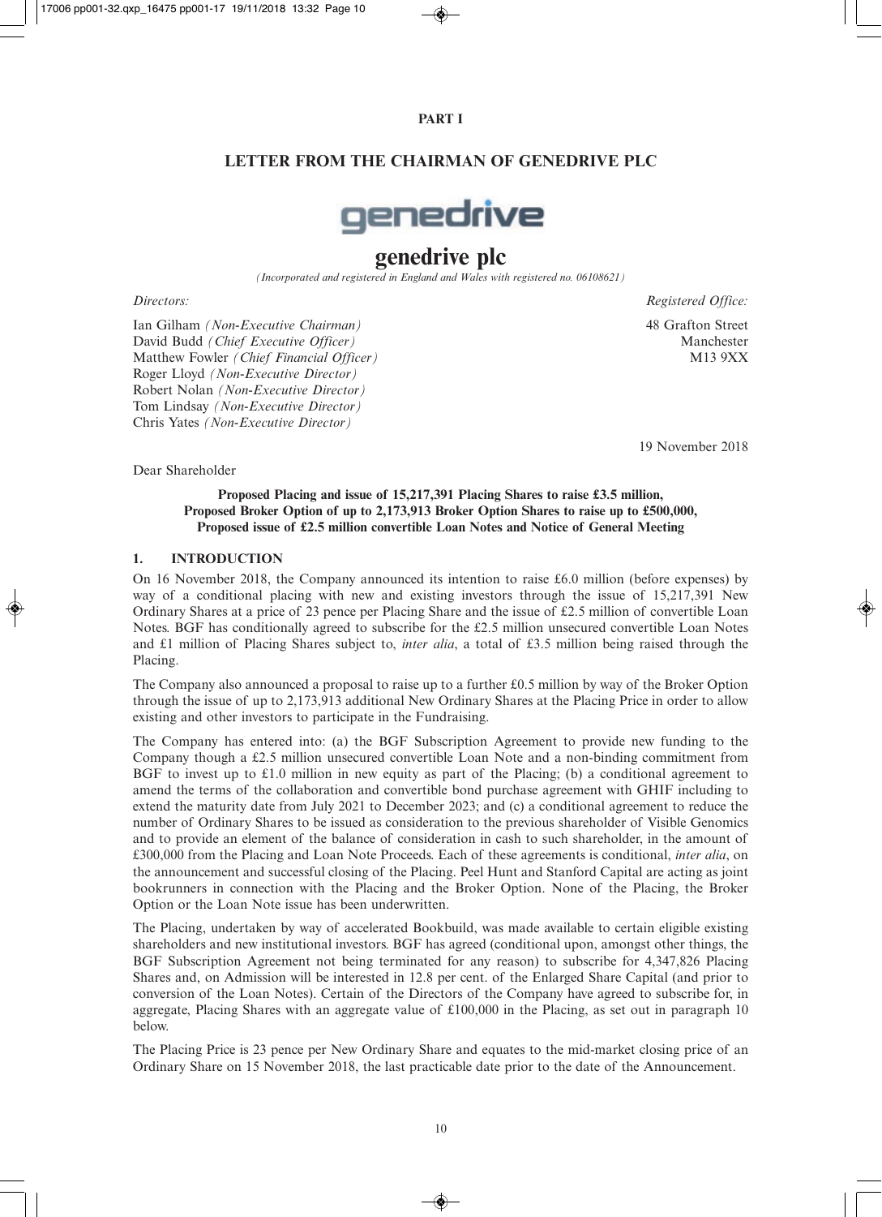## **PART I**

## **LETTER FROM THE CHAIRMAN OF GENEDRIVE PLC**



# **genedrive plc**

*(Incorporated and registered in England and Wales with registered no. 06108621)*

Ian Gilham *(Non-Executive Chairman)* 48 Grafton Street David Budd *(Chief Executive Officer)* Manchester Matthew Fowler *(Chief Financial Officer)* Roger Lloyd *(Non-Executive Director)* Robert Nolan *(Non-Executive Director)* Tom Lindsay *(Non-Executive Director)* Chris Yates *(Non-Executive Director)*

*Directors: Registered Office:*

19 November 2018

Dear Shareholder

#### **Proposed Placing and issue of 15,217,391 Placing Shares to raise £3.5 million, Proposed Broker Option of up to 2,173,913 Broker Option Shares to raise up to £500,000, Proposed issue of £2.5 million convertible Loan Notes and Notice of General Meeting**

## **1. INTRODUCTION**

On 16 November 2018, the Company announced its intention to raise £6.0 million (before expenses) by way of a conditional placing with new and existing investors through the issue of 15,217,391 New Ordinary Shares at a price of 23 pence per Placing Share and the issue of £2.5 million of convertible Loan Notes. BGF has conditionally agreed to subscribe for the £2.5 million unsecured convertible Loan Notes and £1 million of Placing Shares subject to, *inter alia*, a total of £3.5 million being raised through the Placing.

The Company also announced a proposal to raise up to a further £0.5 million by way of the Broker Option through the issue of up to 2,173,913 additional New Ordinary Shares at the Placing Price in order to allow existing and other investors to participate in the Fundraising.

The Company has entered into: (a) the BGF Subscription Agreement to provide new funding to the Company though a £2.5 million unsecured convertible Loan Note and a non-binding commitment from BGF to invest up to £1.0 million in new equity as part of the Placing; (b) a conditional agreement to amend the terms of the collaboration and convertible bond purchase agreement with GHIF including to extend the maturity date from July 2021 to December 2023; and (c) a conditional agreement to reduce the number of Ordinary Shares to be issued as consideration to the previous shareholder of Visible Genomics and to provide an element of the balance of consideration in cash to such shareholder, in the amount of £300,000 from the Placing and Loan Note Proceeds. Each of these agreements is conditional, *inter alia*, on the announcement and successful closing of the Placing. Peel Hunt and Stanford Capital are acting as joint bookrunners in connection with the Placing and the Broker Option. None of the Placing, the Broker Option or the Loan Note issue has been underwritten.

The Placing, undertaken by way of accelerated Bookbuild, was made available to certain eligible existing shareholders and new institutional investors. BGF has agreed (conditional upon, amongst other things, the BGF Subscription Agreement not being terminated for any reason) to subscribe for 4,347,826 Placing Shares and, on Admission will be interested in 12.8 per cent. of the Enlarged Share Capital (and prior to conversion of the Loan Notes). Certain of the Directors of the Company have agreed to subscribe for, in aggregate, Placing Shares with an aggregate value of £100,000 in the Placing, as set out in paragraph 10 below.

The Placing Price is 23 pence per New Ordinary Share and equates to the mid-market closing price of an Ordinary Share on 15 November 2018, the last practicable date prior to the date of the Announcement.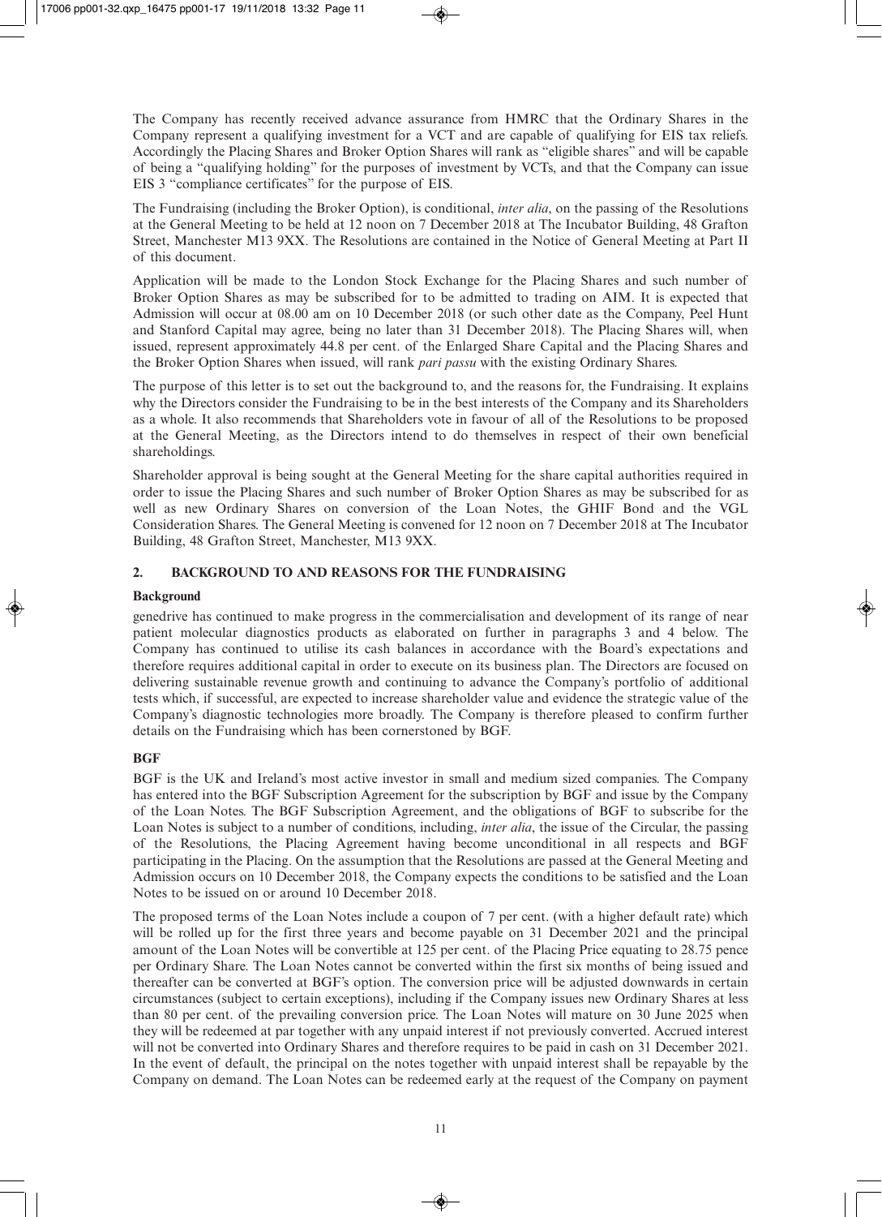The Company has recently received advance assurance from HMRC that the Ordinary Shares in the Company represent a qualifying investment for a VCT and are capable of qualifying for EIS tax reliefs. Accordingly the Placing Shares and Broker Option Shares will rank as "eligible shares" and will be capable of being a "qualifying holding" for the purposes of investment by VCTs, and that the Company can issue EIS 3 "compliance certificates" for the purpose of EIS.

The Fundraising (including the Broker Option), is conditional, *inter alia*, on the passing of the Resolutions at the General Meeting to be held at 12 noon on 7 December 2018 at The Incubator Building, 48 Grafton Street, Manchester M13 9XX. The Resolutions are contained in the Notice of General Meeting at Part II of this document.

Application will be made to the London Stock Exchange for the Placing Shares and such number of Broker Option Shares as may be subscribed for to be admitted to trading on AIM. It is expected that Admission will occur at 08.00 am on 10 December 2018 (or such other date as the Company, Peel Hunt and Stanford Capital may agree, being no later than 31 December 2018). The Placing Shares will, when issued, represent approximately 44.8 per cent. of the Enlarged Share Capital and the Placing Shares and the Broker Option Shares when issued, will rank *pari passu* with the existing Ordinary Shares.

The purpose of this letter is to set out the background to, and the reasons for, the Fundraising. It explains why the Directors consider the Fundraising to be in the best interests of the Company and its Shareholders as a whole. It also recommends that Shareholders vote in favour of all of the Resolutions to be proposed at the General Meeting, as the Directors intend to do themselves in respect of their own beneficial shareholdings.

Shareholder approval is being sought at the General Meeting for the share capital authorities required in order to issue the Placing Shares and such number of Broker Option Shares as may be subscribed for as well as new Ordinary Shares on conversion of the Loan Notes, the GHIF Bond and the VGL Consideration Shares. The General Meeting is convened for 12 noon on 7 December 2018 at The Incubator Building, 48 Grafton Street, Manchester, M13 9XX.

## **2. BACKGROUND TO AND REASONS FOR THE FUNDRAISING**

## **Background**

genedrive has continued to make progress in the commercialisation and development of its range of near patient molecular diagnostics products as elaborated on further in paragraphs 3 and 4 below. The Company has continued to utilise its cash balances in accordance with the Board's expectations and therefore requires additional capital in order to execute on its business plan. The Directors are focused on delivering sustainable revenue growth and continuing to advance the Company's portfolio of additional tests which, if successful, are expected to increase shareholder value and evidence the strategic value of the Company's diagnostic technologies more broadly. The Company is therefore pleased to confirm further details on the Fundraising which has been cornerstoned by BGF.

## **BGF**

BGF is the UK and Ireland's most active investor in small and medium sized companies. The Company has entered into the BGF Subscription Agreement for the subscription by BGF and issue by the Company of the Loan Notes. The BGF Subscription Agreement, and the obligations of BGF to subscribe for the Loan Notes is subject to a number of conditions, including, *inter alia*, the issue of the Circular, the passing of the Resolutions, the Placing Agreement having become unconditional in all respects and BGF participating in the Placing. On the assumption that the Resolutions are passed at the General Meeting and Admission occurs on 10 December 2018, the Company expects the conditions to be satisfied and the Loan Notes to be issued on or around 10 December 2018.

The proposed terms of the Loan Notes include a coupon of 7 per cent. (with a higher default rate) which will be rolled up for the first three years and become payable on 31 December 2021 and the principal amount of the Loan Notes will be convertible at 125 per cent. of the Placing Price equating to 28.75 pence per Ordinary Share. The Loan Notes cannot be converted within the first six months of being issued and thereafter can be converted at BGF's option. The conversion price will be adjusted downwards in certain circumstances (subject to certain exceptions), including if the Company issues new Ordinary Shares at less than 80 per cent. of the prevailing conversion price. The Loan Notes will mature on 30 June 2025 when they will be redeemed at par together with any unpaid interest if not previously converted. Accrued interest will not be converted into Ordinary Shares and therefore requires to be paid in cash on 31 December 2021. In the event of default, the principal on the notes together with unpaid interest shall be repayable by the Company on demand. The Loan Notes can be redeemed early at the request of the Company on payment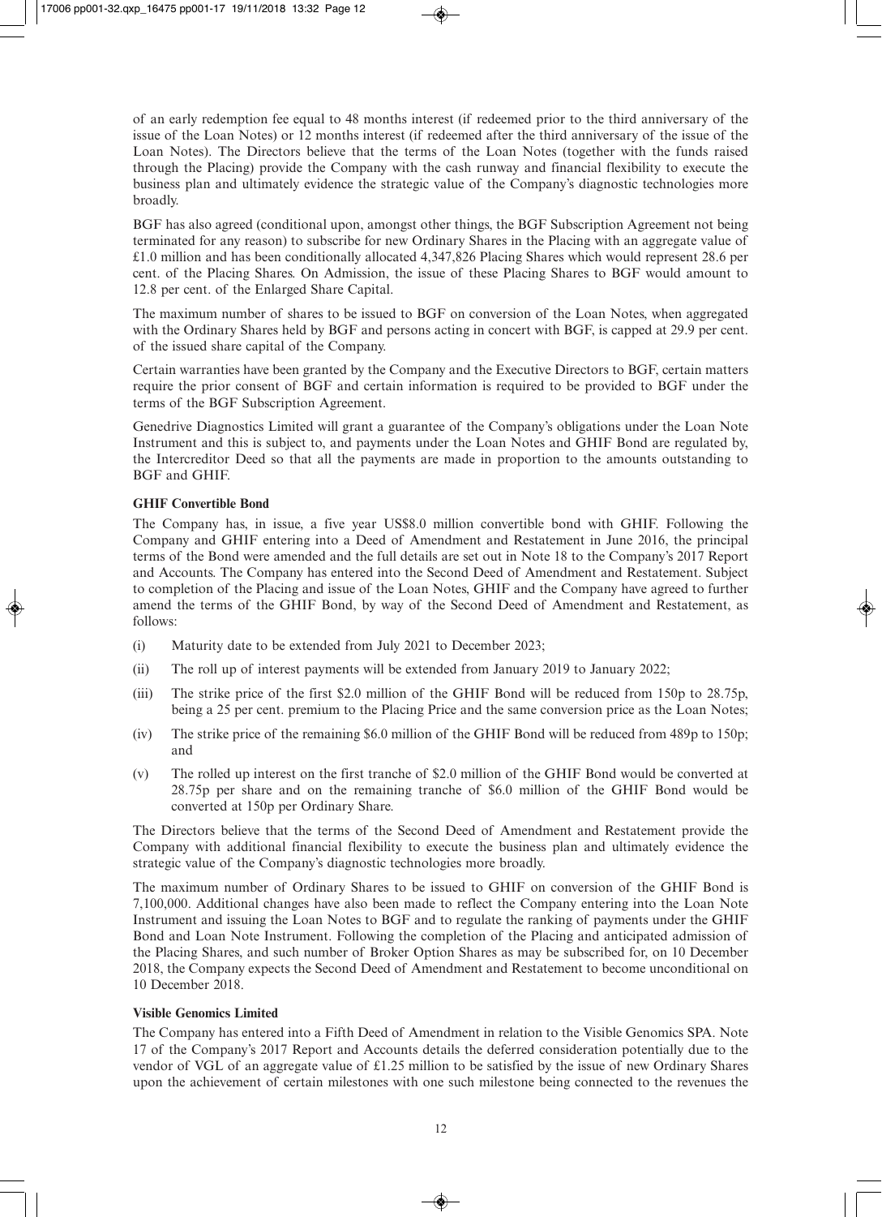of an early redemption fee equal to 48 months interest (if redeemed prior to the third anniversary of the issue of the Loan Notes) or 12 months interest (if redeemed after the third anniversary of the issue of the Loan Notes). The Directors believe that the terms of the Loan Notes (together with the funds raised through the Placing) provide the Company with the cash runway and financial flexibility to execute the business plan and ultimately evidence the strategic value of the Company's diagnostic technologies more broadly.

BGF has also agreed (conditional upon, amongst other things, the BGF Subscription Agreement not being terminated for any reason) to subscribe for new Ordinary Shares in the Placing with an aggregate value of £1.0 million and has been conditionally allocated 4,347,826 Placing Shares which would represent 28.6 per cent. of the Placing Shares. On Admission, the issue of these Placing Shares to BGF would amount to 12.8 per cent. of the Enlarged Share Capital.

The maximum number of shares to be issued to BGF on conversion of the Loan Notes, when aggregated with the Ordinary Shares held by BGF and persons acting in concert with BGF, is capped at 29.9 per cent. of the issued share capital of the Company.

Certain warranties have been granted by the Company and the Executive Directors to BGF, certain matters require the prior consent of BGF and certain information is required to be provided to BGF under the terms of the BGF Subscription Agreement.

Genedrive Diagnostics Limited will grant a guarantee of the Company's obligations under the Loan Note Instrument and this is subject to, and payments under the Loan Notes and GHIF Bond are regulated by, the Intercreditor Deed so that all the payments are made in proportion to the amounts outstanding to BGF and GHIF.

## **GHIF Convertible Bond**

The Company has, in issue, a five year US\$8.0 million convertible bond with GHIF. Following the Company and GHIF entering into a Deed of Amendment and Restatement in June 2016, the principal terms of the Bond were amended and the full details are set out in Note 18 to the Company's 2017 Report and Accounts. The Company has entered into the Second Deed of Amendment and Restatement. Subject to completion of the Placing and issue of the Loan Notes, GHIF and the Company have agreed to further amend the terms of the GHIF Bond, by way of the Second Deed of Amendment and Restatement, as follows:

- (i) Maturity date to be extended from July 2021 to December 2023;
- (ii) The roll up of interest payments will be extended from January 2019 to January 2022;
- (iii) The strike price of the first \$2.0 million of the GHIF Bond will be reduced from 150p to 28.75p, being a 25 per cent. premium to the Placing Price and the same conversion price as the Loan Notes;
- (iv) The strike price of the remaining \$6.0 million of the GHIF Bond will be reduced from 489p to 150p; and
- (v) The rolled up interest on the first tranche of \$2.0 million of the GHIF Bond would be converted at 28.75p per share and on the remaining tranche of \$6.0 million of the GHIF Bond would be converted at 150p per Ordinary Share.

The Directors believe that the terms of the Second Deed of Amendment and Restatement provide the Company with additional financial flexibility to execute the business plan and ultimately evidence the strategic value of the Company's diagnostic technologies more broadly.

The maximum number of Ordinary Shares to be issued to GHIF on conversion of the GHIF Bond is 7,100,000. Additional changes have also been made to reflect the Company entering into the Loan Note Instrument and issuing the Loan Notes to BGF and to regulate the ranking of payments under the GHIF Bond and Loan Note Instrument. Following the completion of the Placing and anticipated admission of the Placing Shares, and such number of Broker Option Shares as may be subscribed for, on 10 December 2018, the Company expects the Second Deed of Amendment and Restatement to become unconditional on 10 December 2018.

#### **Visible Genomics Limited**

The Company has entered into a Fifth Deed of Amendment in relation to the Visible Genomics SPA. Note 17 of the Company's 2017 Report and Accounts details the deferred consideration potentially due to the vendor of VGL of an aggregate value of £1.25 million to be satisfied by the issue of new Ordinary Shares upon the achievement of certain milestones with one such milestone being connected to the revenues the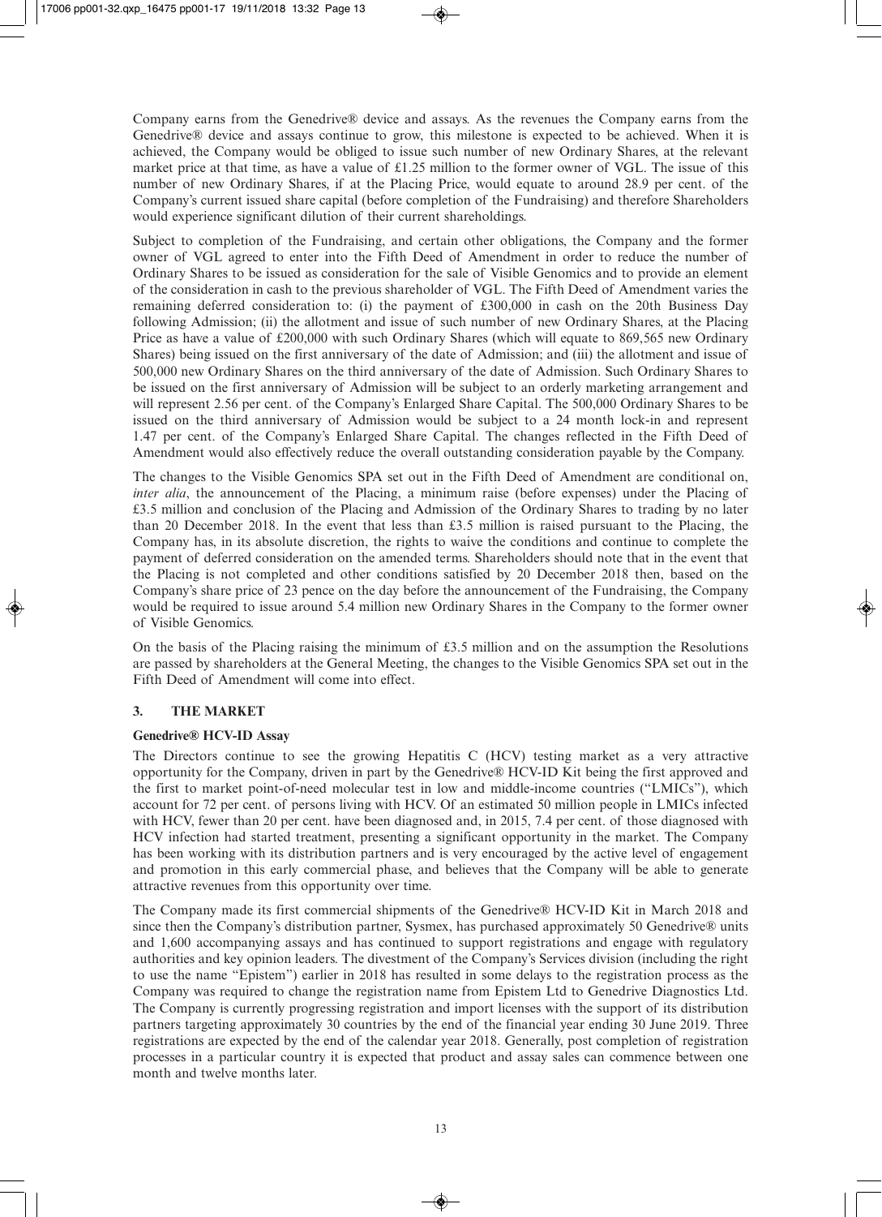Company earns from the Genedrive® device and assays. As the revenues the Company earns from the Genedrive® device and assays continue to grow, this milestone is expected to be achieved. When it is achieved, the Company would be obliged to issue such number of new Ordinary Shares, at the relevant market price at that time, as have a value of £1.25 million to the former owner of VGL. The issue of this number of new Ordinary Shares, if at the Placing Price, would equate to around 28.9 per cent. of the Company's current issued share capital (before completion of the Fundraising) and therefore Shareholders would experience significant dilution of their current shareholdings.

Subject to completion of the Fundraising, and certain other obligations, the Company and the former owner of VGL agreed to enter into the Fifth Deed of Amendment in order to reduce the number of Ordinary Shares to be issued as consideration for the sale of Visible Genomics and to provide an element of the consideration in cash to the previous shareholder of VGL. The Fifth Deed of Amendment varies the remaining deferred consideration to: (i) the payment of £300,000 in cash on the 20th Business Day following Admission; (ii) the allotment and issue of such number of new Ordinary Shares, at the Placing Price as have a value of £200,000 with such Ordinary Shares (which will equate to 869,565 new Ordinary Shares) being issued on the first anniversary of the date of Admission; and (iii) the allotment and issue of 500,000 new Ordinary Shares on the third anniversary of the date of Admission. Such Ordinary Shares to be issued on the first anniversary of Admission will be subject to an orderly marketing arrangement and will represent 2.56 per cent. of the Company's Enlarged Share Capital. The 500,000 Ordinary Shares to be issued on the third anniversary of Admission would be subject to a 24 month lock-in and represent 1.47 per cent. of the Company's Enlarged Share Capital. The changes reflected in the Fifth Deed of Amendment would also effectively reduce the overall outstanding consideration payable by the Company.

The changes to the Visible Genomics SPA set out in the Fifth Deed of Amendment are conditional on, *inter alia*, the announcement of the Placing, a minimum raise (before expenses) under the Placing of £3.5 million and conclusion of the Placing and Admission of the Ordinary Shares to trading by no later than 20 December 2018. In the event that less than £3.5 million is raised pursuant to the Placing, the Company has, in its absolute discretion, the rights to waive the conditions and continue to complete the payment of deferred consideration on the amended terms. Shareholders should note that in the event that the Placing is not completed and other conditions satisfied by 20 December 2018 then, based on the Company's share price of 23 pence on the day before the announcement of the Fundraising, the Company would be required to issue around 5.4 million new Ordinary Shares in the Company to the former owner of Visible Genomics.

On the basis of the Placing raising the minimum of  $£3.5$  million and on the assumption the Resolutions are passed by shareholders at the General Meeting, the changes to the Visible Genomics SPA set out in the Fifth Deed of Amendment will come into effect.

## **3. THE MARKET**

#### **Genedrive® HCV-ID Assay**

The Directors continue to see the growing Hepatitis C (HCV) testing market as a very attractive opportunity for the Company, driven in part by the Genedrive® HCV-ID Kit being the first approved and the first to market point-of-need molecular test in low and middle-income countries ("LMICs"), which account for 72 per cent. of persons living with HCV. Of an estimated 50 million people in LMICs infected with HCV, fewer than 20 per cent. have been diagnosed and, in 2015, 7.4 per cent. of those diagnosed with HCV infection had started treatment, presenting a significant opportunity in the market. The Company has been working with its distribution partners and is very encouraged by the active level of engagement and promotion in this early commercial phase, and believes that the Company will be able to generate attractive revenues from this opportunity over time.

The Company made its first commercial shipments of the Genedrive® HCV-ID Kit in March 2018 and since then the Company's distribution partner, Sysmex, has purchased approximately 50 Genedrive® units and 1,600 accompanying assays and has continued to support registrations and engage with regulatory authorities and key opinion leaders. The divestment of the Company's Services division (including the right to use the name "Epistem") earlier in 2018 has resulted in some delays to the registration process as the Company was required to change the registration name from Epistem Ltd to Genedrive Diagnostics Ltd. The Company is currently progressing registration and import licenses with the support of its distribution partners targeting approximately 30 countries by the end of the financial year ending 30 June 2019. Three registrations are expected by the end of the calendar year 2018. Generally, post completion of registration processes in a particular country it is expected that product and assay sales can commence between one month and twelve months later.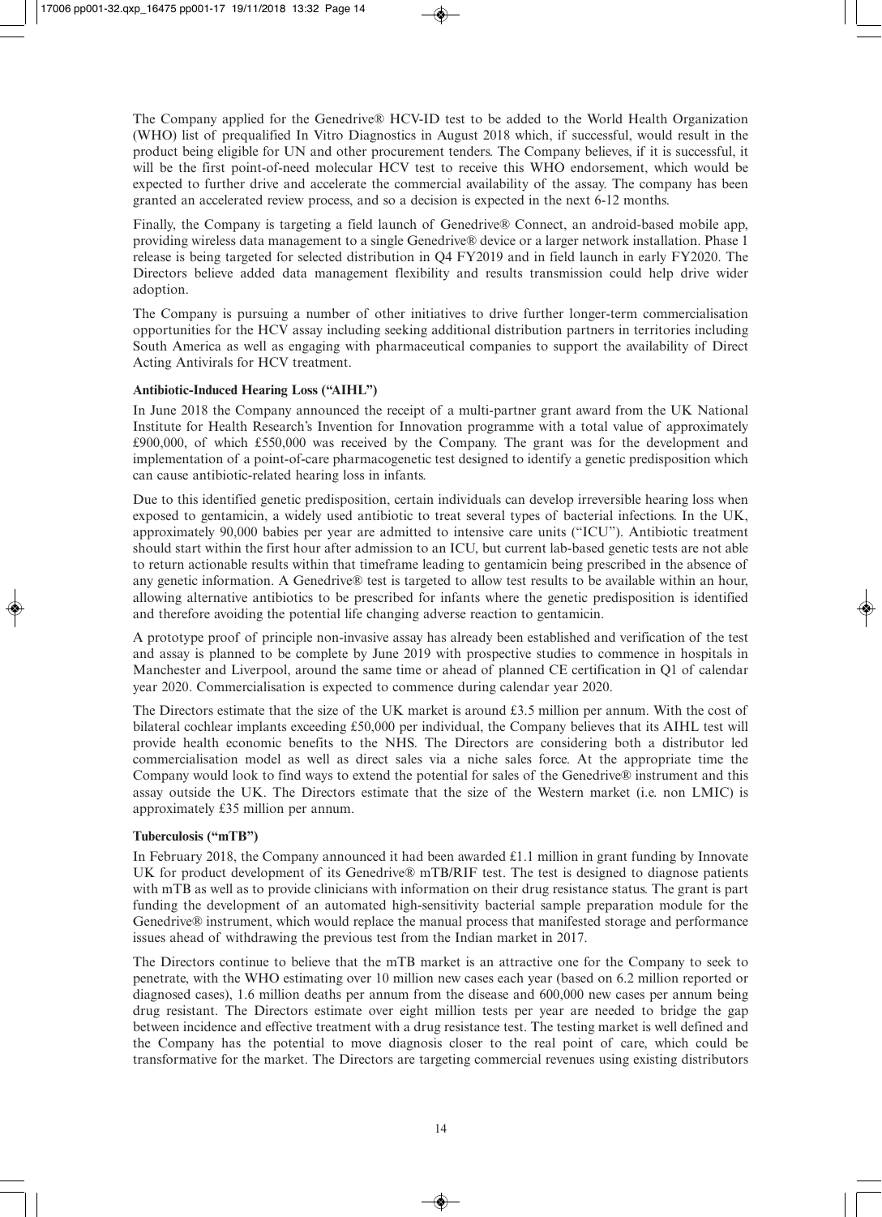The Company applied for the Genedrive® HCV-ID test to be added to the World Health Organization (WHO) list of prequalified In Vitro Diagnostics in August 2018 which, if successful, would result in the product being eligible for UN and other procurement tenders. The Company believes, if it is successful, it will be the first point-of-need molecular HCV test to receive this WHO endorsement, which would be expected to further drive and accelerate the commercial availability of the assay. The company has been granted an accelerated review process, and so a decision is expected in the next 6-12 months.

Finally, the Company is targeting a field launch of Genedrive® Connect, an android-based mobile app, providing wireless data management to a single Genedrive® device or a larger network installation. Phase 1 release is being targeted for selected distribution in Q4 FY2019 and in field launch in early FY2020. The Directors believe added data management flexibility and results transmission could help drive wider adoption.

The Company is pursuing a number of other initiatives to drive further longer-term commercialisation opportunities for the HCV assay including seeking additional distribution partners in territories including South America as well as engaging with pharmaceutical companies to support the availability of Direct Acting Antivirals for HCV treatment.

## **Antibiotic-Induced Hearing Loss ("AIHL")**

In June 2018 the Company announced the receipt of a multi-partner grant award from the UK National Institute for Health Research's Invention for Innovation programme with a total value of approximately £900,000, of which £550,000 was received by the Company. The grant was for the development and implementation of a point-of-care pharmacogenetic test designed to identify a genetic predisposition which can cause antibiotic-related hearing loss in infants.

Due to this identified genetic predisposition, certain individuals can develop irreversible hearing loss when exposed to gentamicin, a widely used antibiotic to treat several types of bacterial infections. In the UK, approximately 90,000 babies per year are admitted to intensive care units ("ICU"). Antibiotic treatment should start within the first hour after admission to an ICU, but current lab-based genetic tests are not able to return actionable results within that timeframe leading to gentamicin being prescribed in the absence of any genetic information. A Genedrive® test is targeted to allow test results to be available within an hour, allowing alternative antibiotics to be prescribed for infants where the genetic predisposition is identified and therefore avoiding the potential life changing adverse reaction to gentamicin.

A prototype proof of principle non-invasive assay has already been established and verification of the test and assay is planned to be complete by June 2019 with prospective studies to commence in hospitals in Manchester and Liverpool, around the same time or ahead of planned CE certification in Q1 of calendar year 2020. Commercialisation is expected to commence during calendar year 2020.

The Directors estimate that the size of the UK market is around £3.5 million per annum. With the cost of bilateral cochlear implants exceeding £50,000 per individual, the Company believes that its AIHL test will provide health economic benefits to the NHS. The Directors are considering both a distributor led commercialisation model as well as direct sales via a niche sales force. At the appropriate time the Company would look to find ways to extend the potential for sales of the Genedrive® instrument and this assay outside the UK. The Directors estimate that the size of the Western market (i.e. non LMIC) is approximately £35 million per annum.

#### **Tuberculosis ("mTB")**

In February 2018, the Company announced it had been awarded £1.1 million in grant funding by Innovate UK for product development of its Genedrive® mTB/RIF test. The test is designed to diagnose patients with mTB as well as to provide clinicians with information on their drug resistance status. The grant is part funding the development of an automated high-sensitivity bacterial sample preparation module for the Genedrive® instrument, which would replace the manual process that manifested storage and performance issues ahead of withdrawing the previous test from the Indian market in 2017.

The Directors continue to believe that the mTB market is an attractive one for the Company to seek to penetrate, with the WHO estimating over 10 million new cases each year (based on 6.2 million reported or diagnosed cases), 1.6 million deaths per annum from the disease and 600,000 new cases per annum being drug resistant. The Directors estimate over eight million tests per year are needed to bridge the gap between incidence and effective treatment with a drug resistance test. The testing market is well defined and the Company has the potential to move diagnosis closer to the real point of care, which could be transformative for the market. The Directors are targeting commercial revenues using existing distributors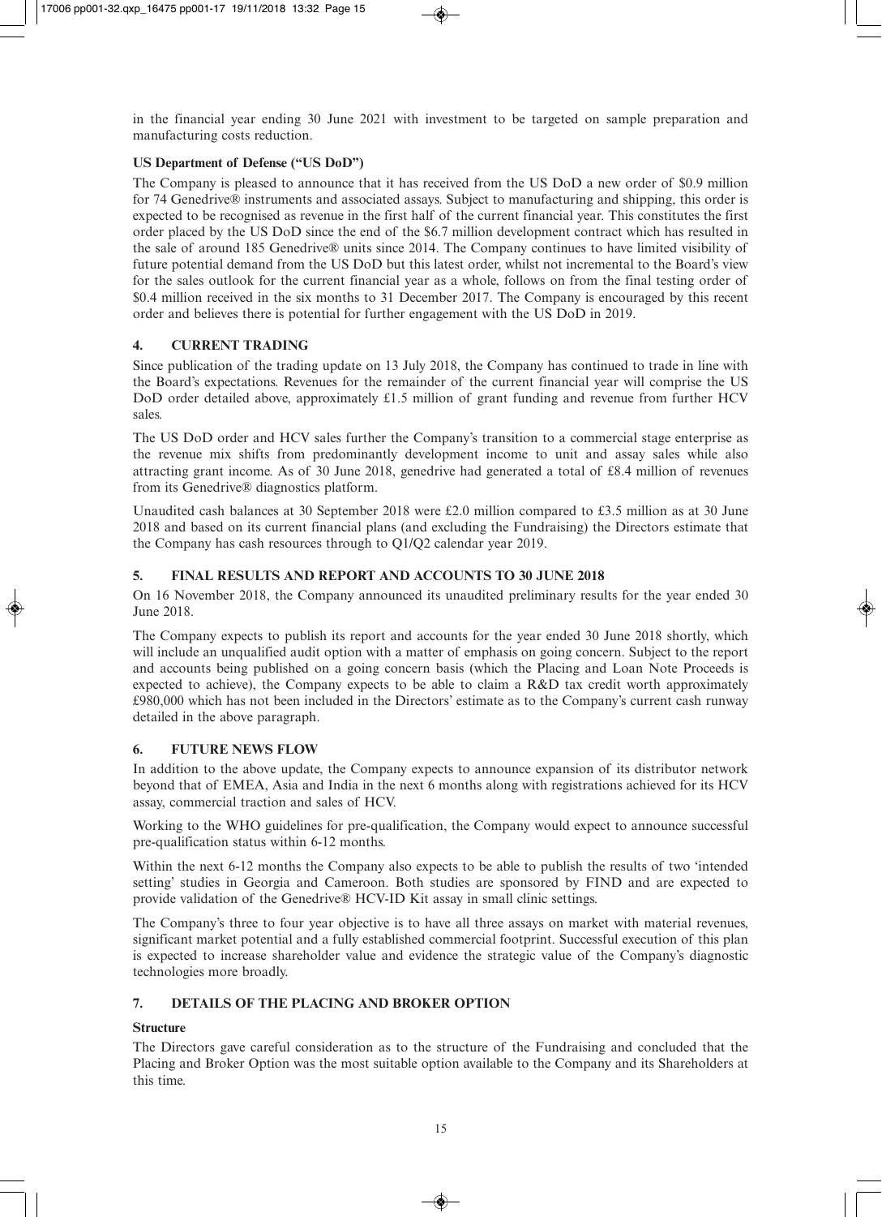in the financial year ending 30 June 2021 with investment to be targeted on sample preparation and manufacturing costs reduction.

## **US Department of Defense ("US DoD")**

The Company is pleased to announce that it has received from the US DoD a new order of \$0.9 million for 74 Genedrive® instruments and associated assays. Subject to manufacturing and shipping, this order is expected to be recognised as revenue in the first half of the current financial year. This constitutes the first order placed by the US DoD since the end of the \$6.7 million development contract which has resulted in the sale of around 185 Genedrive® units since 2014. The Company continues to have limited visibility of future potential demand from the US DoD but this latest order, whilst not incremental to the Board's view for the sales outlook for the current financial year as a whole, follows on from the final testing order of \$0.4 million received in the six months to 31 December 2017. The Company is encouraged by this recent order and believes there is potential for further engagement with the US DoD in 2019.

## **4. CURRENT TRADING**

Since publication of the trading update on 13 July 2018, the Company has continued to trade in line with the Board's expectations. Revenues for the remainder of the current financial year will comprise the US DoD order detailed above, approximately £1.5 million of grant funding and revenue from further HCV sales.

The US DoD order and HCV sales further the Company's transition to a commercial stage enterprise as the revenue mix shifts from predominantly development income to unit and assay sales while also attracting grant income. As of 30 June 2018, genedrive had generated a total of £8.4 million of revenues from its Genedrive® diagnostics platform.

Unaudited cash balances at 30 September 2018 were £2.0 million compared to £3.5 million as at 30 June 2018 and based on its current financial plans (and excluding the Fundraising) the Directors estimate that the Company has cash resources through to Q1/Q2 calendar year 2019.

## **5. FINAL RESULTS AND REPORT AND ACCOUNTS TO 30 JUNE 2018**

On 16 November 2018, the Company announced its unaudited preliminary results for the year ended 30 June 2018.

The Company expects to publish its report and accounts for the year ended 30 June 2018 shortly, which will include an unqualified audit option with a matter of emphasis on going concern. Subject to the report and accounts being published on a going concern basis (which the Placing and Loan Note Proceeds is expected to achieve), the Company expects to be able to claim a R&D tax credit worth approximately £980,000 which has not been included in the Directors' estimate as to the Company's current cash runway detailed in the above paragraph.

## **6. FUTURE NEWS FLOW**

In addition to the above update, the Company expects to announce expansion of its distributor network beyond that of EMEA, Asia and India in the next 6 months along with registrations achieved for its HCV assay, commercial traction and sales of HCV.

Working to the WHO guidelines for pre-qualification, the Company would expect to announce successful pre-qualification status within 6-12 months.

Within the next 6-12 months the Company also expects to be able to publish the results of two 'intended setting' studies in Georgia and Cameroon. Both studies are sponsored by FIND and are expected to provide validation of the Genedrive® HCV-ID Kit assay in small clinic settings.

The Company's three to four year objective is to have all three assays on market with material revenues, significant market potential and a fully established commercial footprint. Successful execution of this plan is expected to increase shareholder value and evidence the strategic value of the Company's diagnostic technologies more broadly.

## **7. DETAILS OF THE PLACING AND BROKER OPTION**

## **Structure**

The Directors gave careful consideration as to the structure of the Fundraising and concluded that the Placing and Broker Option was the most suitable option available to the Company and its Shareholders at this time.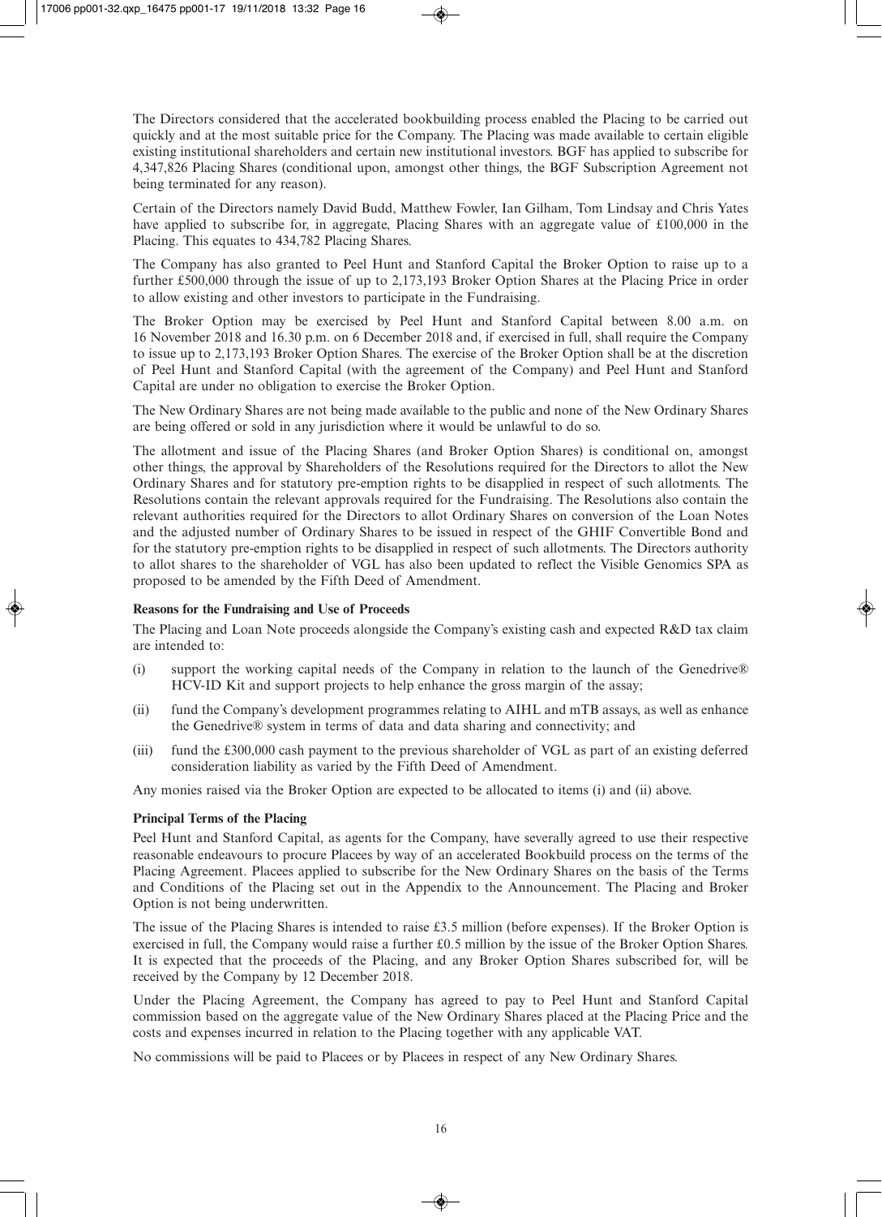The Directors considered that the accelerated bookbuilding process enabled the Placing to be carried out quickly and at the most suitable price for the Company. The Placing was made available to certain eligible existing institutional shareholders and certain new institutional investors. BGF has applied to subscribe for 4,347,826 Placing Shares (conditional upon, amongst other things, the BGF Subscription Agreement not being terminated for any reason).

Certain of the Directors namely David Budd, Matthew Fowler, Ian Gilham, Tom Lindsay and Chris Yates have applied to subscribe for, in aggregate, Placing Shares with an aggregate value of £100,000 in the Placing. This equates to 434,782 Placing Shares.

The Company has also granted to Peel Hunt and Stanford Capital the Broker Option to raise up to a further £500,000 through the issue of up to 2,173,193 Broker Option Shares at the Placing Price in order to allow existing and other investors to participate in the Fundraising.

The Broker Option may be exercised by Peel Hunt and Stanford Capital between 8.00 a.m. on 16 November 2018 and 16.30 p.m. on 6 December 2018 and, if exercised in full, shall require the Company to issue up to 2,173,193 Broker Option Shares. The exercise of the Broker Option shall be at the discretion of Peel Hunt and Stanford Capital (with the agreement of the Company) and Peel Hunt and Stanford Capital are under no obligation to exercise the Broker Option.

The New Ordinary Shares are not being made available to the public and none of the New Ordinary Shares are being offered or sold in any jurisdiction where it would be unlawful to do so.

The allotment and issue of the Placing Shares (and Broker Option Shares) is conditional on, amongst other things, the approval by Shareholders of the Resolutions required for the Directors to allot the New Ordinary Shares and for statutory pre-emption rights to be disapplied in respect of such allotments. The Resolutions contain the relevant approvals required for the Fundraising. The Resolutions also contain the relevant authorities required for the Directors to allot Ordinary Shares on conversion of the Loan Notes and the adjusted number of Ordinary Shares to be issued in respect of the GHIF Convertible Bond and for the statutory pre-emption rights to be disapplied in respect of such allotments. The Directors authority to allot shares to the shareholder of VGL has also been updated to reflect the Visible Genomics SPA as proposed to be amended by the Fifth Deed of Amendment.

#### **Reasons for the Fundraising and Use of Proceeds**

The Placing and Loan Note proceeds alongside the Company's existing cash and expected R&D tax claim are intended to:

- (i) support the working capital needs of the Company in relation to the launch of the Genedrive® HCV-ID Kit and support projects to help enhance the gross margin of the assay;
- (ii) fund the Company's development programmes relating to AIHL and mTB assays, as well as enhance the Genedrive® system in terms of data and data sharing and connectivity; and
- (iii) fund the £300,000 cash payment to the previous shareholder of VGL as part of an existing deferred consideration liability as varied by the Fifth Deed of Amendment.

Any monies raised via the Broker Option are expected to be allocated to items (i) and (ii) above.

#### **Principal Terms of the Placing**

Peel Hunt and Stanford Capital, as agents for the Company, have severally agreed to use their respective reasonable endeavours to procure Placees by way of an accelerated Bookbuild process on the terms of the Placing Agreement. Placees applied to subscribe for the New Ordinary Shares on the basis of the Terms and Conditions of the Placing set out in the Appendix to the Announcement. The Placing and Broker Option is not being underwritten.

The issue of the Placing Shares is intended to raise £3.5 million (before expenses). If the Broker Option is exercised in full, the Company would raise a further £0.5 million by the issue of the Broker Option Shares. It is expected that the proceeds of the Placing, and any Broker Option Shares subscribed for, will be received by the Company by 12 December 2018.

Under the Placing Agreement, the Company has agreed to pay to Peel Hunt and Stanford Capital commission based on the aggregate value of the New Ordinary Shares placed at the Placing Price and the costs and expenses incurred in relation to the Placing together with any applicable VAT.

No commissions will be paid to Placees or by Placees in respect of any New Ordinary Shares.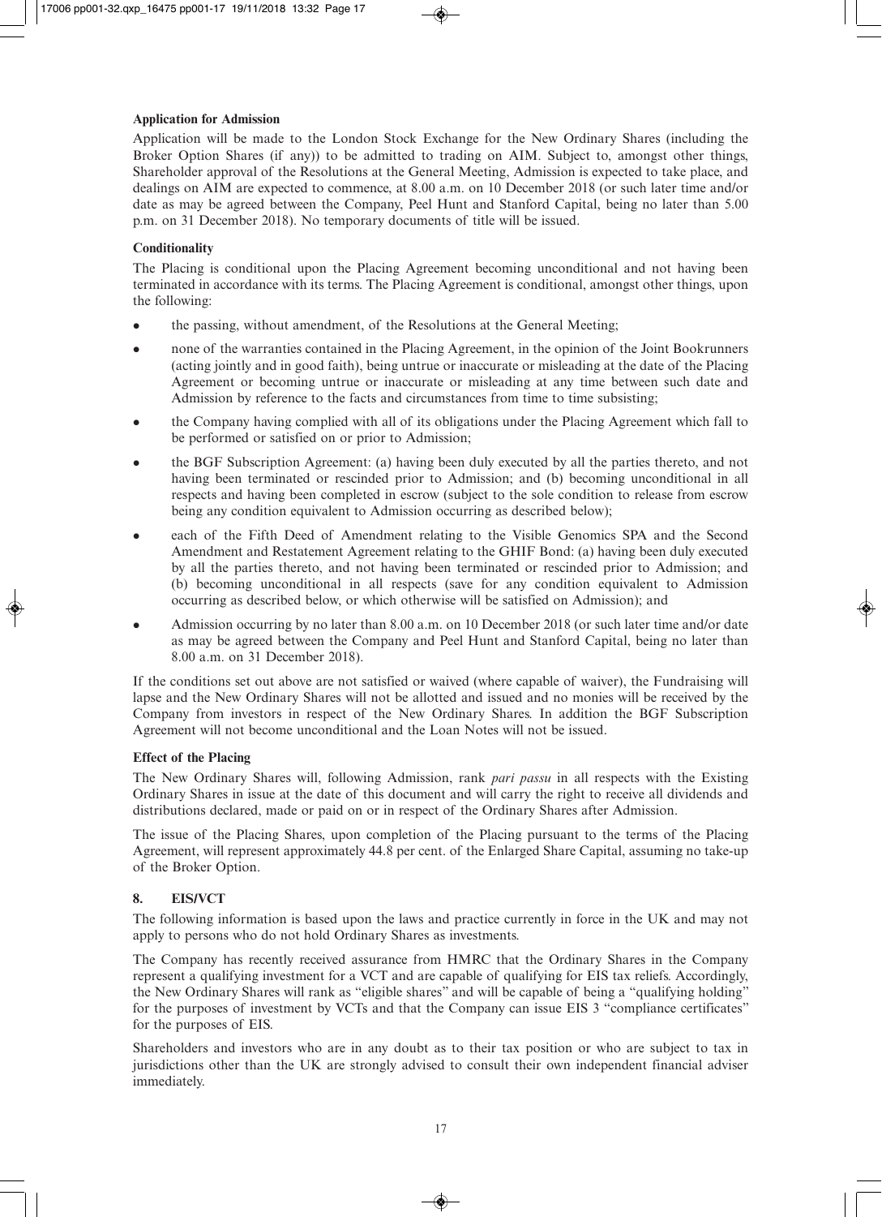## **Application for Admission**

Application will be made to the London Stock Exchange for the New Ordinary Shares (including the Broker Option Shares (if any)) to be admitted to trading on AIM. Subject to, amongst other things, Shareholder approval of the Resolutions at the General Meeting, Admission is expected to take place, and dealings on AIM are expected to commence, at 8.00 a.m. on 10 December 2018 (or such later time and/or date as may be agreed between the Company, Peel Hunt and Stanford Capital, being no later than 5.00 p.m. on 31 December 2018). No temporary documents of title will be issued.

## **Conditionality**

The Placing is conditional upon the Placing Agreement becoming unconditional and not having been terminated in accordance with its terms. The Placing Agreement is conditional, amongst other things, upon the following:

- the passing, without amendment, of the Resolutions at the General Meeting;
- <sup>l</sup> none of the warranties contained in the Placing Agreement, in the opinion of the Joint Bookrunners (acting jointly and in good faith), being untrue or inaccurate or misleading at the date of the Placing Agreement or becoming untrue or inaccurate or misleading at any time between such date and Admission by reference to the facts and circumstances from time to time subsisting;
- the Company having complied with all of its obligations under the Placing Agreement which fall to be performed or satisfied on or prior to Admission;
- <sup>l</sup> the BGF Subscription Agreement: (a) having been duly executed by all the parties thereto, and not having been terminated or rescinded prior to Admission; and (b) becoming unconditional in all respects and having been completed in escrow (subject to the sole condition to release from escrow being any condition equivalent to Admission occurring as described below);
- <sup>l</sup> each of the Fifth Deed of Amendment relating to the Visible Genomics SPA and the Second Amendment and Restatement Agreement relating to the GHIF Bond: (a) having been duly executed by all the parties thereto, and not having been terminated or rescinded prior to Admission; and (b) becoming unconditional in all respects (save for any condition equivalent to Admission occurring as described below, or which otherwise will be satisfied on Admission); and
- <sup>l</sup> Admission occurring by no later than 8.00 a.m. on 10 December 2018 (or such later time and/or date as may be agreed between the Company and Peel Hunt and Stanford Capital, being no later than 8.00 a.m. on 31 December 2018).

If the conditions set out above are not satisfied or waived (where capable of waiver), the Fundraising will lapse and the New Ordinary Shares will not be allotted and issued and no monies will be received by the Company from investors in respect of the New Ordinary Shares. In addition the BGF Subscription Agreement will not become unconditional and the Loan Notes will not be issued.

## **Effect of the Placing**

The New Ordinary Shares will, following Admission, rank *pari passu* in all respects with the Existing Ordinary Shares in issue at the date of this document and will carry the right to receive all dividends and distributions declared, made or paid on or in respect of the Ordinary Shares after Admission.

The issue of the Placing Shares, upon completion of the Placing pursuant to the terms of the Placing Agreement, will represent approximately 44.8 per cent. of the Enlarged Share Capital, assuming no take-up of the Broker Option.

## **8. EIS/VCT**

The following information is based upon the laws and practice currently in force in the UK and may not apply to persons who do not hold Ordinary Shares as investments.

The Company has recently received assurance from HMRC that the Ordinary Shares in the Company represent a qualifying investment for a VCT and are capable of qualifying for EIS tax reliefs. Accordingly, the New Ordinary Shares will rank as "eligible shares" and will be capable of being a "qualifying holding" for the purposes of investment by VCTs and that the Company can issue EIS 3 "compliance certificates" for the purposes of EIS.

Shareholders and investors who are in any doubt as to their tax position or who are subject to tax in jurisdictions other than the UK are strongly advised to consult their own independent financial adviser immediately.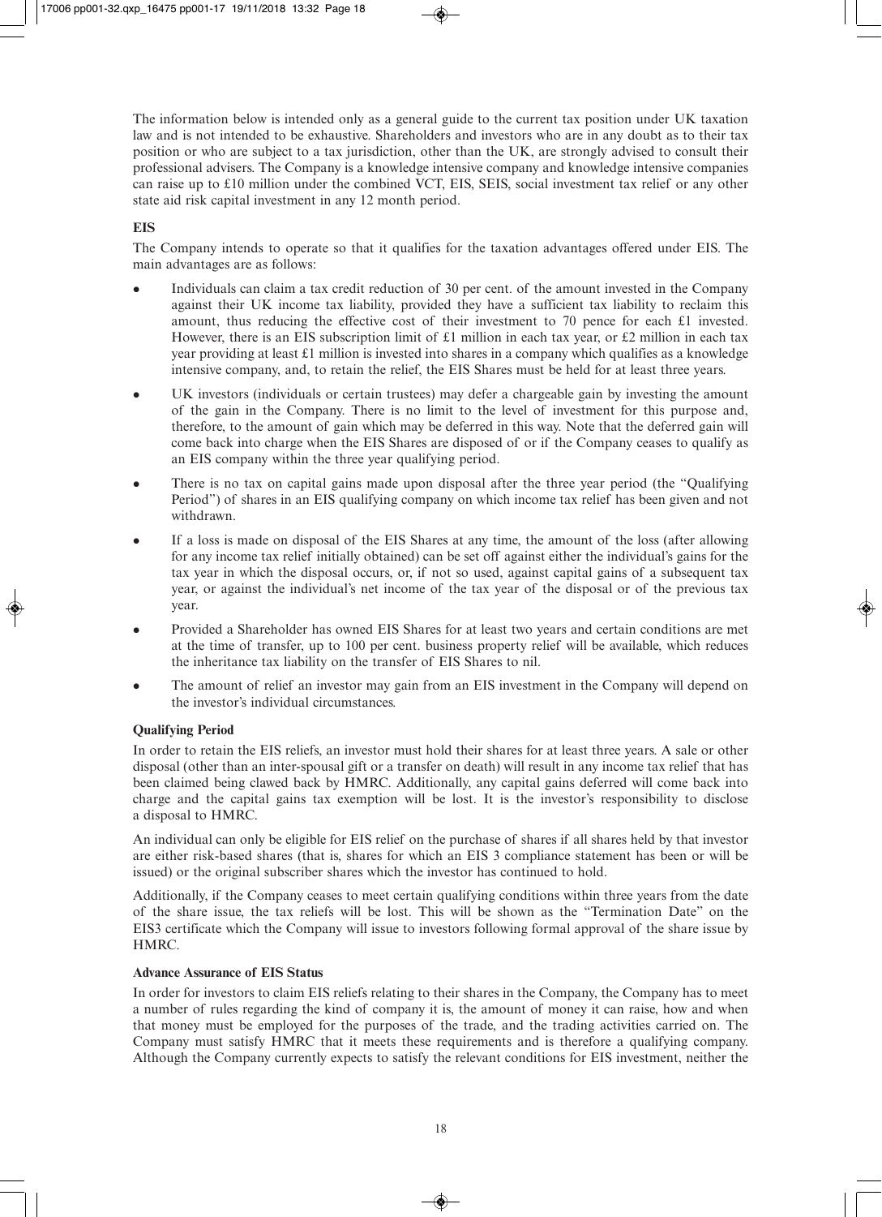The information below is intended only as a general guide to the current tax position under UK taxation law and is not intended to be exhaustive. Shareholders and investors who are in any doubt as to their tax position or who are subject to a tax jurisdiction, other than the UK, are strongly advised to consult their professional advisers. The Company is a knowledge intensive company and knowledge intensive companies can raise up to £10 million under the combined VCT, EIS, SEIS, social investment tax relief or any other state aid risk capital investment in any 12 month period.

## **EIS**

The Company intends to operate so that it qualifies for the taxation advantages offered under EIS. The main advantages are as follows:

- <sup>l</sup> Individuals can claim a tax credit reduction of 30 per cent. of the amount invested in the Company against their UK income tax liability, provided they have a sufficient tax liability to reclaim this amount, thus reducing the effective cost of their investment to 70 pence for each £1 invested. However, there is an EIS subscription limit of £1 million in each tax year, or £2 million in each tax year providing at least  $\pounds$ 1 million is invested into shares in a company which qualifies as a knowledge intensive company, and, to retain the relief, the EIS Shares must be held for at least three years.
- UK investors (individuals or certain trustees) may defer a chargeable gain by investing the amount of the gain in the Company. There is no limit to the level of investment for this purpose and, therefore, to the amount of gain which may be deferred in this way. Note that the deferred gain will come back into charge when the EIS Shares are disposed of or if the Company ceases to qualify as an EIS company within the three year qualifying period.
- <sup>l</sup> There is no tax on capital gains made upon disposal after the three year period (the "Qualifying Period") of shares in an EIS qualifying company on which income tax relief has been given and not withdrawn.
- If a loss is made on disposal of the EIS Shares at any time, the amount of the loss (after allowing for any income tax relief initially obtained) can be set off against either the individual's gains for the tax year in which the disposal occurs, or, if not so used, against capital gains of a subsequent tax year, or against the individual's net income of the tax year of the disposal or of the previous tax year.
- <sup>l</sup> Provided a Shareholder has owned EIS Shares for at least two years and certain conditions are met at the time of transfer, up to 100 per cent. business property relief will be available, which reduces the inheritance tax liability on the transfer of EIS Shares to nil.
- The amount of relief an investor may gain from an EIS investment in the Company will depend on the investor's individual circumstances.

## **Qualifying Period**

In order to retain the EIS reliefs, an investor must hold their shares for at least three years. A sale or other disposal (other than an inter-spousal gift or a transfer on death) will result in any income tax relief that has been claimed being clawed back by HMRC. Additionally, any capital gains deferred will come back into charge and the capital gains tax exemption will be lost. It is the investor's responsibility to disclose a disposal to HMRC.

An individual can only be eligible for EIS relief on the purchase of shares if all shares held by that investor are either risk-based shares (that is, shares for which an EIS 3 compliance statement has been or will be issued) or the original subscriber shares which the investor has continued to hold.

Additionally, if the Company ceases to meet certain qualifying conditions within three years from the date of the share issue, the tax reliefs will be lost. This will be shown as the "Termination Date" on the EIS3 certificate which the Company will issue to investors following formal approval of the share issue by HMRC.

#### **Advance Assurance of EIS Status**

In order for investors to claim EIS reliefs relating to their shares in the Company, the Company has to meet a number of rules regarding the kind of company it is, the amount of money it can raise, how and when that money must be employed for the purposes of the trade, and the trading activities carried on. The Company must satisfy HMRC that it meets these requirements and is therefore a qualifying company. Although the Company currently expects to satisfy the relevant conditions for EIS investment, neither the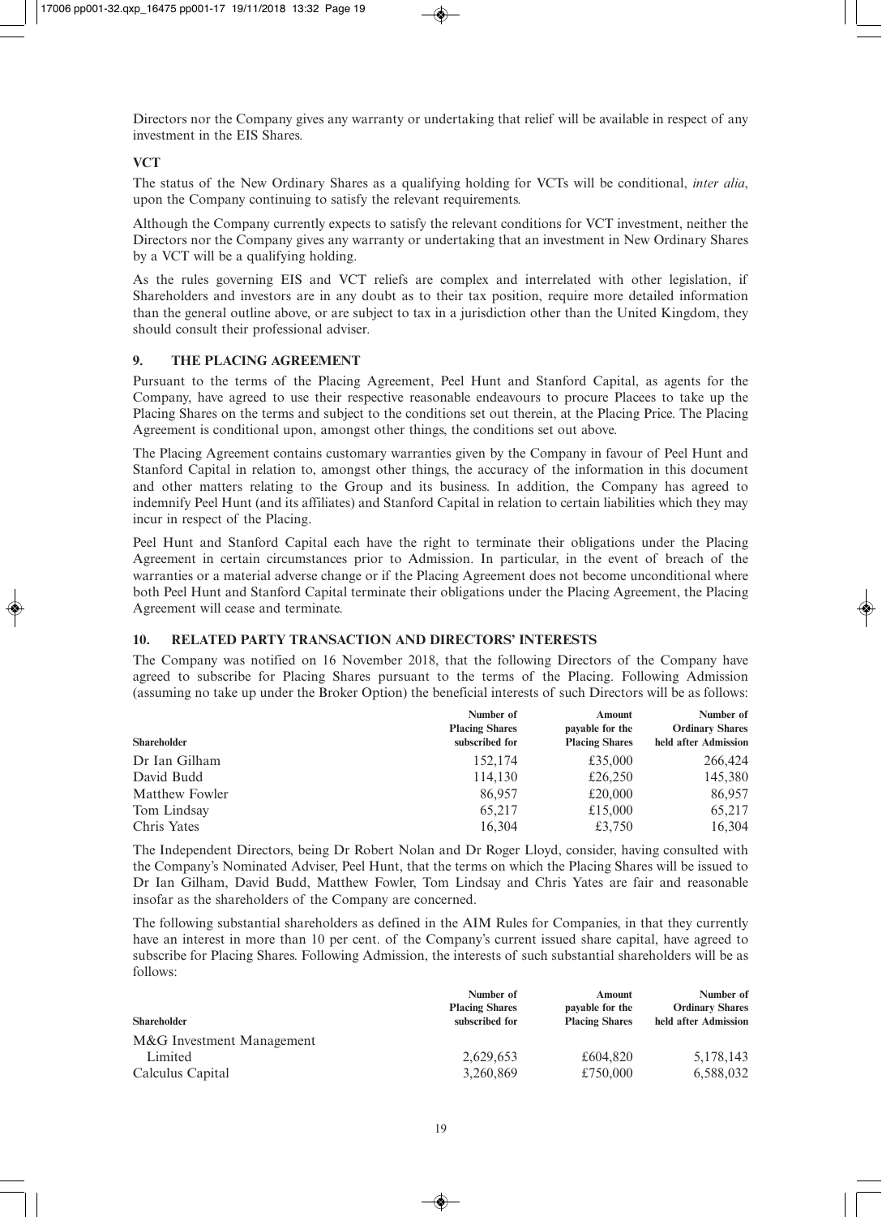Directors nor the Company gives any warranty or undertaking that relief will be available in respect of any investment in the EIS Shares.

## **VCT**

The status of the New Ordinary Shares as a qualifying holding for VCTs will be conditional, *inter alia*, upon the Company continuing to satisfy the relevant requirements.

Although the Company currently expects to satisfy the relevant conditions for VCT investment, neither the Directors nor the Company gives any warranty or undertaking that an investment in New Ordinary Shares by a VCT will be a qualifying holding.

As the rules governing EIS and VCT reliefs are complex and interrelated with other legislation, if Shareholders and investors are in any doubt as to their tax position, require more detailed information than the general outline above, or are subject to tax in a jurisdiction other than the United Kingdom, they should consult their professional adviser.

## **9. THE PLACING AGREEMENT**

Pursuant to the terms of the Placing Agreement, Peel Hunt and Stanford Capital, as agents for the Company, have agreed to use their respective reasonable endeavours to procure Placees to take up the Placing Shares on the terms and subject to the conditions set out therein, at the Placing Price. The Placing Agreement is conditional upon, amongst other things, the conditions set out above.

The Placing Agreement contains customary warranties given by the Company in favour of Peel Hunt and Stanford Capital in relation to, amongst other things, the accuracy of the information in this document and other matters relating to the Group and its business. In addition, the Company has agreed to indemnify Peel Hunt (and its affiliates) and Stanford Capital in relation to certain liabilities which they may incur in respect of the Placing.

Peel Hunt and Stanford Capital each have the right to terminate their obligations under the Placing Agreement in certain circumstances prior to Admission. In particular, in the event of breach of the warranties or a material adverse change or if the Placing Agreement does not become unconditional where both Peel Hunt and Stanford Capital terminate their obligations under the Placing Agreement, the Placing Agreement will cease and terminate.

#### **10. RELATED PARTY TRANSACTION AND DIRECTORS' INTERESTS**

The Company was notified on 16 November 2018, that the following Directors of the Company have agreed to subscribe for Placing Shares pursuant to the terms of the Placing. Following Admission (assuming no take up under the Broker Option) the beneficial interests of such Directors will be as follows:

| <b>Shareholder</b> | Number of<br><b>Placing Shares</b><br>subscribed for | Amount<br>payable for the<br><b>Placing Shares</b> | Number of<br><b>Ordinary Shares</b><br>held after Admission |
|--------------------|------------------------------------------------------|----------------------------------------------------|-------------------------------------------------------------|
|                    |                                                      |                                                    |                                                             |
| David Budd         | 114,130                                              | £26,250                                            | 145,380                                                     |
| Matthew Fowler     | 86,957                                               | £20,000                                            | 86,957                                                      |
| Tom Lindsay        | 65,217                                               | £15,000                                            | 65,217                                                      |
| Chris Yates        | 16,304                                               | £3,750                                             | 16,304                                                      |

The Independent Directors, being Dr Robert Nolan and Dr Roger Lloyd, consider, having consulted with the Company's Nominated Adviser, Peel Hunt, that the terms on which the Placing Shares will be issued to Dr Ian Gilham, David Budd, Matthew Fowler, Tom Lindsay and Chris Yates are fair and reasonable insofar as the shareholders of the Company are concerned.

The following substantial shareholders as defined in the AIM Rules for Companies, in that they currently have an interest in more than 10 per cent. of the Company's current issued share capital, have agreed to subscribe for Placing Shares. Following Admission, the interests of such substantial shareholders will be as follows:

|                           | Number of             | Amount                | Number of              |
|---------------------------|-----------------------|-----------------------|------------------------|
|                           | <b>Placing Shares</b> | payable for the       | <b>Ordinary Shares</b> |
| <b>Shareholder</b>        | subscribed for        | <b>Placing Shares</b> | held after Admission   |
| M&G Investment Management |                       |                       |                        |
| Limited                   | 2,629,653             | £604.820              | 5,178,143              |
| Calculus Capital          | 3,260,869             | £750,000              | 6,588,032              |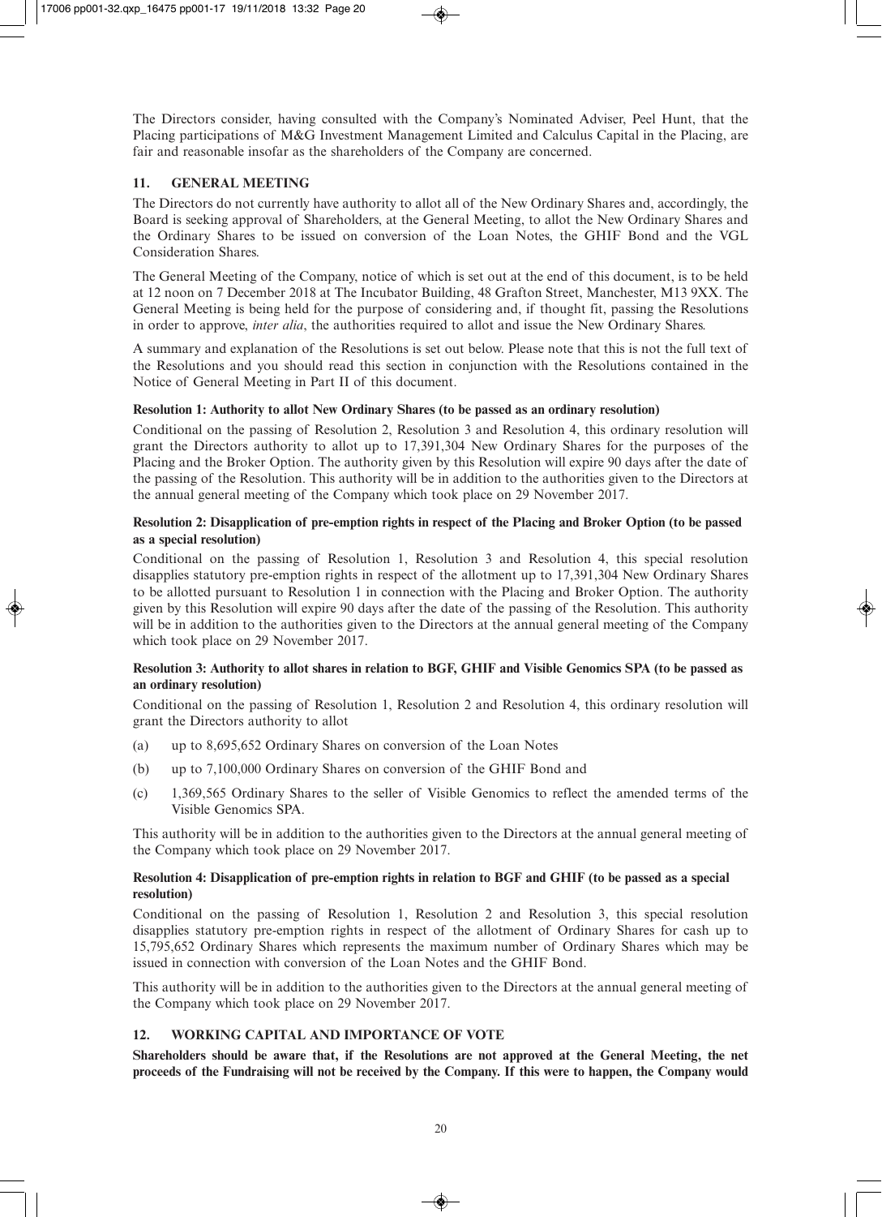The Directors consider, having consulted with the Company's Nominated Adviser, Peel Hunt, that the Placing participations of M&G Investment Management Limited and Calculus Capital in the Placing, are fair and reasonable insofar as the shareholders of the Company are concerned.

## **11. GENERAL MEETING**

The Directors do not currently have authority to allot all of the New Ordinary Shares and, accordingly, the Board is seeking approval of Shareholders, at the General Meeting, to allot the New Ordinary Shares and the Ordinary Shares to be issued on conversion of the Loan Notes, the GHIF Bond and the VGL Consideration Shares.

The General Meeting of the Company, notice of which is set out at the end of this document, is to be held at 12 noon on 7 December 2018 at The Incubator Building, 48 Grafton Street, Manchester, M13 9XX. The General Meeting is being held for the purpose of considering and, if thought fit, passing the Resolutions in order to approve, *inter alia*, the authorities required to allot and issue the New Ordinary Shares.

A summary and explanation of the Resolutions is set out below. Please note that this is not the full text of the Resolutions and you should read this section in conjunction with the Resolutions contained in the Notice of General Meeting in Part II of this document.

## **Resolution 1: Authority to allot New Ordinary Shares (to be passed as an ordinary resolution)**

Conditional on the passing of Resolution 2, Resolution 3 and Resolution 4, this ordinary resolution will grant the Directors authority to allot up to 17,391,304 New Ordinary Shares for the purposes of the Placing and the Broker Option. The authority given by this Resolution will expire 90 days after the date of the passing of the Resolution. This authority will be in addition to the authorities given to the Directors at the annual general meeting of the Company which took place on 29 November 2017.

## **Resolution 2: Disapplication of pre-emption rights in respect of the Placing and Broker Option (to be passed as a special resolution)**

Conditional on the passing of Resolution 1, Resolution 3 and Resolution 4, this special resolution disapplies statutory pre-emption rights in respect of the allotment up to 17,391,304 New Ordinary Shares to be allotted pursuant to Resolution 1 in connection with the Placing and Broker Option. The authority given by this Resolution will expire 90 days after the date of the passing of the Resolution. This authority will be in addition to the authorities given to the Directors at the annual general meeting of the Company which took place on 29 November 2017.

## **Resolution 3: Authority to allot shares in relation to BGF, GHIF and Visible Genomics SPA (to be passed as an ordinary resolution)**

Conditional on the passing of Resolution 1, Resolution 2 and Resolution 4, this ordinary resolution will grant the Directors authority to allot

- (a) up to 8,695,652 Ordinary Shares on conversion of the Loan Notes
- (b) up to 7,100,000 Ordinary Shares on conversion of the GHIF Bond and
- (c) 1,369,565 Ordinary Shares to the seller of Visible Genomics to reflect the amended terms of the Visible Genomics SPA.

This authority will be in addition to the authorities given to the Directors at the annual general meeting of the Company which took place on 29 November 2017.

## **Resolution 4: Disapplication of pre-emption rights in relation to BGF and GHIF (to be passed as a special resolution)**

Conditional on the passing of Resolution 1, Resolution 2 and Resolution 3, this special resolution disapplies statutory pre-emption rights in respect of the allotment of Ordinary Shares for cash up to 15,795,652 Ordinary Shares which represents the maximum number of Ordinary Shares which may be issued in connection with conversion of the Loan Notes and the GHIF Bond.

This authority will be in addition to the authorities given to the Directors at the annual general meeting of the Company which took place on 29 November 2017.

## **12. WORKING CAPITAL AND IMPORTANCE OF VOTE**

**Shareholders should be aware that, if the Resolutions are not approved at the General Meeting, the net proceeds of the Fundraising will not be received by the Company. If this were to happen, the Company would**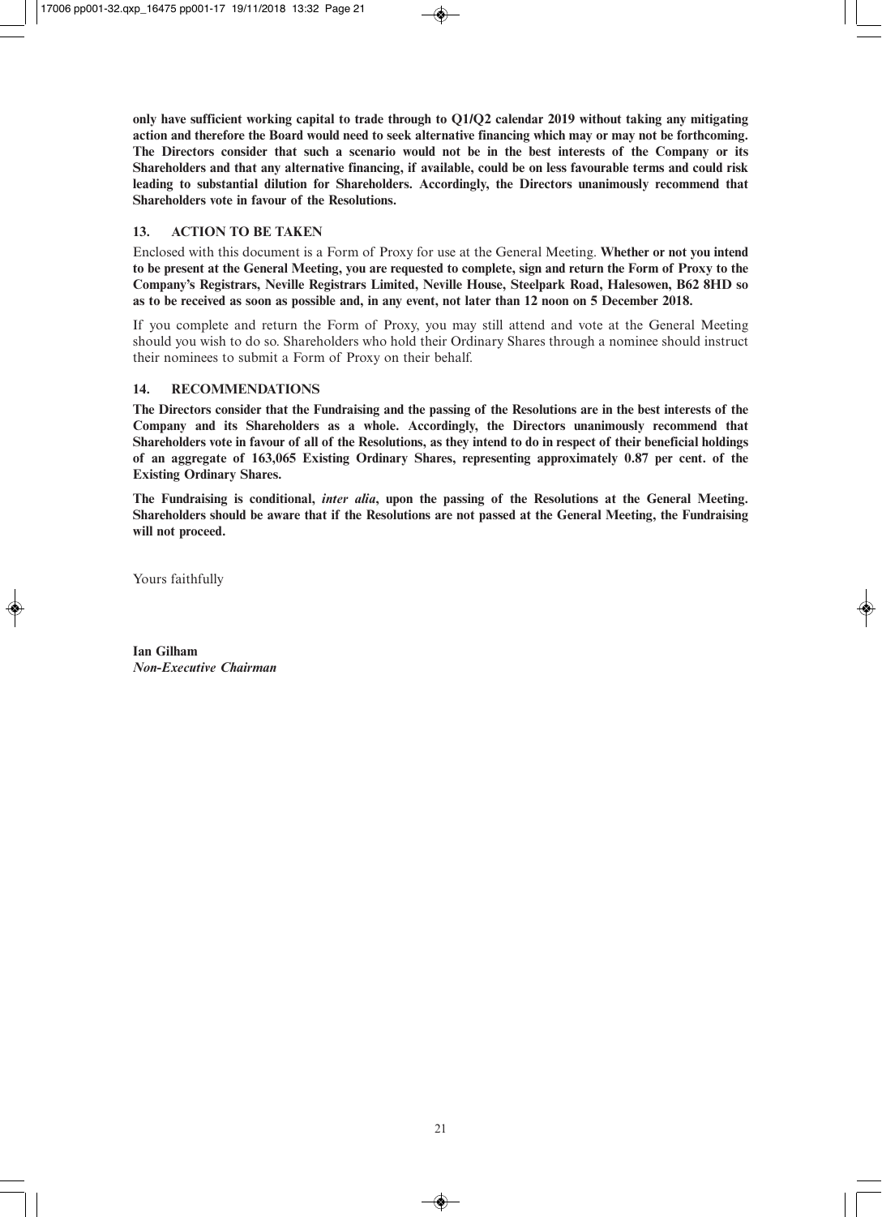**only have sufficient working capital to trade through to Q1/Q2 calendar 2019 without taking any mitigating action and therefore the Board would need to seek alternative financing which may or may not be forthcoming. The Directors consider that such a scenario would not be in the best interests of the Company or its Shareholders and that any alternative financing, if available, could be on less favourable terms and could risk leading to substantial dilution for Shareholders. Accordingly, the Directors unanimously recommend that Shareholders vote in favour of the Resolutions.**

## **13. ACTION TO BE TAKEN**

Enclosed with this document is a Form of Proxy for use at the General Meeting. **Whether or not you intend to be present at the General Meeting, you are requested to complete, sign and return the Form of Proxy to the Company's Registrars, Neville Registrars Limited, Neville House, Steelpark Road, Halesowen, B62 8HD so as to be received as soon as possible and, in any event, not later than 12 noon on 5 December 2018.**

If you complete and return the Form of Proxy, you may still attend and vote at the General Meeting should you wish to do so. Shareholders who hold their Ordinary Shares through a nominee should instruct their nominees to submit a Form of Proxy on their behalf.

## **14. RECOMMENDATIONS**

**The Directors consider that the Fundraising and the passing of the Resolutions are in the best interests of the Company and its Shareholders as a whole. Accordingly, the Directors unanimously recommend that Shareholders vote in favour of all of the Resolutions, as they intend to do in respect of their beneficial holdings of an aggregate of 163,065 Existing Ordinary Shares, representing approximately 0.87 per cent. of the Existing Ordinary Shares.** 

**The Fundraising is conditional,** *inter alia***, upon the passing of the Resolutions at the General Meeting. Shareholders should be aware that if the Resolutions are not passed at the General Meeting, the Fundraising will not proceed.** 

Yours faithfully

**Ian Gilham** *Non-Executive Chairman*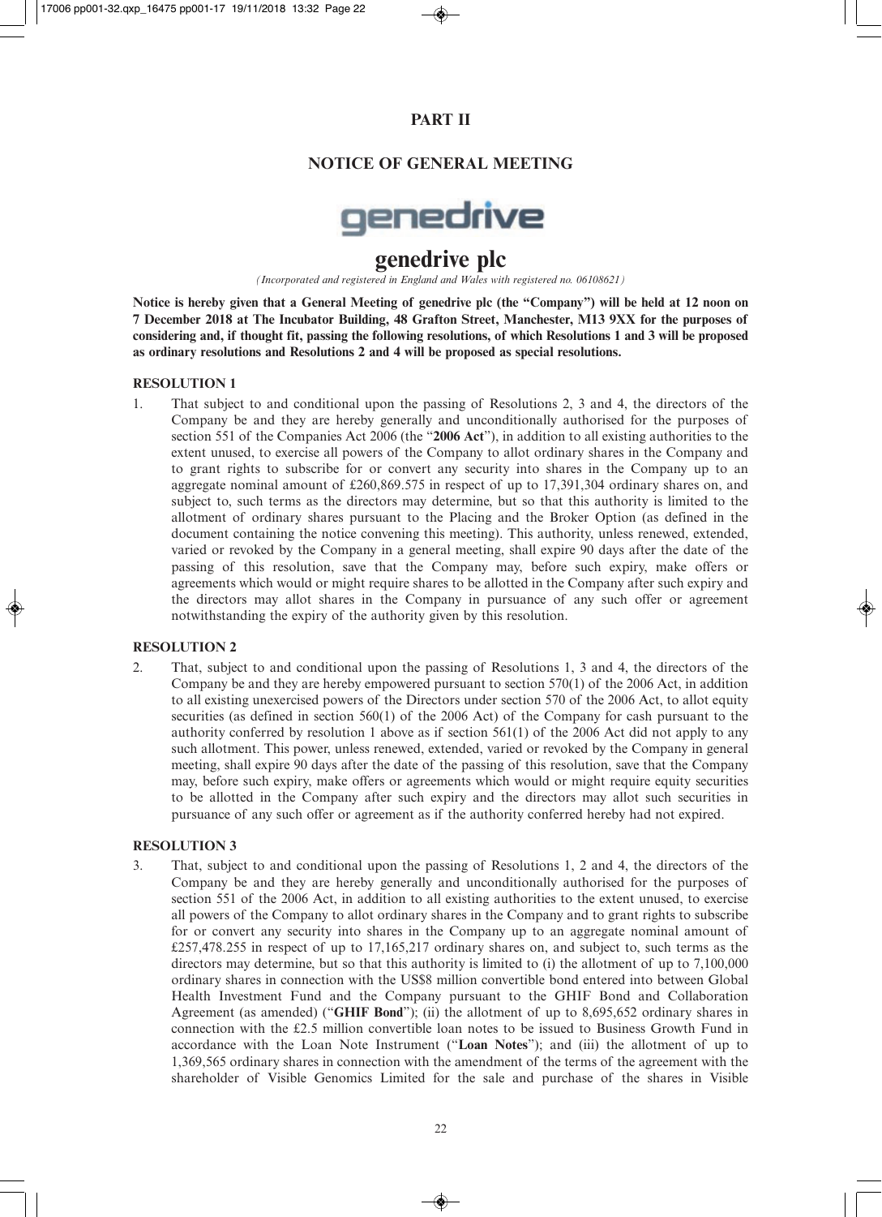## **PART II**

## **NOTICE OF GENERAL MEETING**



# **genedrive plc**

*(Incorporated and registered in England and Wales with registered no. 06108621)*

**Notice is hereby given that a General Meeting of genedrive plc (the "Company") will be held at 12 noon on 7 December 2018 at The Incubator Building, 48 Grafton Street, Manchester, M13 9XX for the purposes of considering and, if thought fit, passing the following resolutions, of which Resolutions 1 and 3 will be proposed as ordinary resolutions and Resolutions 2 and 4 will be proposed as special resolutions.**

#### **RESOLUTION 1**

1. That subject to and conditional upon the passing of Resolutions 2, 3 and 4, the directors of the Company be and they are hereby generally and unconditionally authorised for the purposes of section 551 of the Companies Act 2006 (the "**2006 Act**"), in addition to all existing authorities to the extent unused, to exercise all powers of the Company to allot ordinary shares in the Company and to grant rights to subscribe for or convert any security into shares in the Company up to an aggregate nominal amount of £260,869.575 in respect of up to 17,391,304 ordinary shares on, and subject to, such terms as the directors may determine, but so that this authority is limited to the allotment of ordinary shares pursuant to the Placing and the Broker Option (as defined in the document containing the notice convening this meeting). This authority, unless renewed, extended, varied or revoked by the Company in a general meeting, shall expire 90 days after the date of the passing of this resolution, save that the Company may, before such expiry, make offers or agreements which would or might require shares to be allotted in the Company after such expiry and the directors may allot shares in the Company in pursuance of any such offer or agreement notwithstanding the expiry of the authority given by this resolution.

#### **RESOLUTION 2**

2. That, subject to and conditional upon the passing of Resolutions 1, 3 and 4, the directors of the Company be and they are hereby empowered pursuant to section 570(1) of the 2006 Act, in addition to all existing unexercised powers of the Directors under section 570 of the 2006 Act, to allot equity securities (as defined in section 560(1) of the 2006 Act) of the Company for cash pursuant to the authority conferred by resolution 1 above as if section  $561(1)$  of the 2006 Act did not apply to any such allotment. This power, unless renewed, extended, varied or revoked by the Company in general meeting, shall expire 90 days after the date of the passing of this resolution, save that the Company may, before such expiry, make offers or agreements which would or might require equity securities to be allotted in the Company after such expiry and the directors may allot such securities in pursuance of any such offer or agreement as if the authority conferred hereby had not expired.

#### **RESOLUTION 3**

3. That, subject to and conditional upon the passing of Resolutions 1, 2 and 4, the directors of the Company be and they are hereby generally and unconditionally authorised for the purposes of section 551 of the 2006 Act, in addition to all existing authorities to the extent unused, to exercise all powers of the Company to allot ordinary shares in the Company and to grant rights to subscribe for or convert any security into shares in the Company up to an aggregate nominal amount of £257,478.255 in respect of up to 17,165,217 ordinary shares on, and subject to, such terms as the directors may determine, but so that this authority is limited to (i) the allotment of up to 7,100,000 ordinary shares in connection with the US\$8 million convertible bond entered into between Global Health Investment Fund and the Company pursuant to the GHIF Bond and Collaboration Agreement (as amended) ("**GHIF Bond**"); (ii) the allotment of up to 8,695,652 ordinary shares in connection with the £2.5 million convertible loan notes to be issued to Business Growth Fund in accordance with the Loan Note Instrument ("**Loan Notes**"); and (iii) the allotment of up to 1,369,565 ordinary shares in connection with the amendment of the terms of the agreement with the shareholder of Visible Genomics Limited for the sale and purchase of the shares in Visible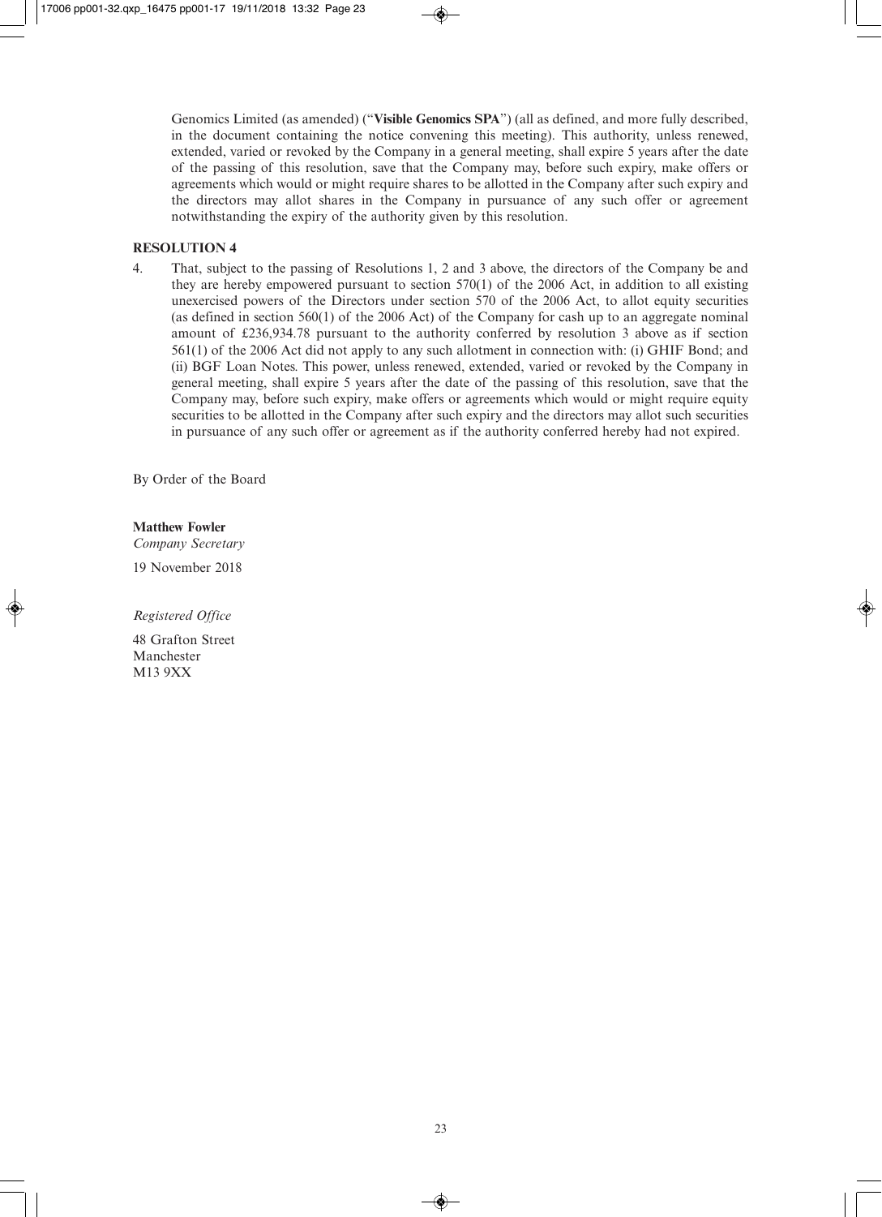Genomics Limited (as amended) ("**Visible Genomics SPA**") (all as defined, and more fully described, in the document containing the notice convening this meeting). This authority, unless renewed, extended, varied or revoked by the Company in a general meeting, shall expire 5 years after the date of the passing of this resolution, save that the Company may, before such expiry, make offers or agreements which would or might require shares to be allotted in the Company after such expiry and the directors may allot shares in the Company in pursuance of any such offer or agreement notwithstanding the expiry of the authority given by this resolution.

#### **RESOLUTION 4**

4. That, subject to the passing of Resolutions 1, 2 and 3 above, the directors of the Company be and they are hereby empowered pursuant to section 570(1) of the 2006 Act, in addition to all existing unexercised powers of the Directors under section 570 of the 2006 Act, to allot equity securities (as defined in section 560(1) of the 2006 Act) of the Company for cash up to an aggregate nominal amount of £236,934.78 pursuant to the authority conferred by resolution 3 above as if section 561(1) of the 2006 Act did not apply to any such allotment in connection with: (i) GHIF Bond; and (ii) BGF Loan Notes. This power, unless renewed, extended, varied or revoked by the Company in general meeting, shall expire 5 years after the date of the passing of this resolution, save that the Company may, before such expiry, make offers or agreements which would or might require equity securities to be allotted in the Company after such expiry and the directors may allot such securities in pursuance of any such offer or agreement as if the authority conferred hereby had not expired.

By Order of the Board

## **Matthew Fowler**

*Company Secretary*

19 November 2018

*Registered Office*

48 Grafton Street Manchester M13 9XX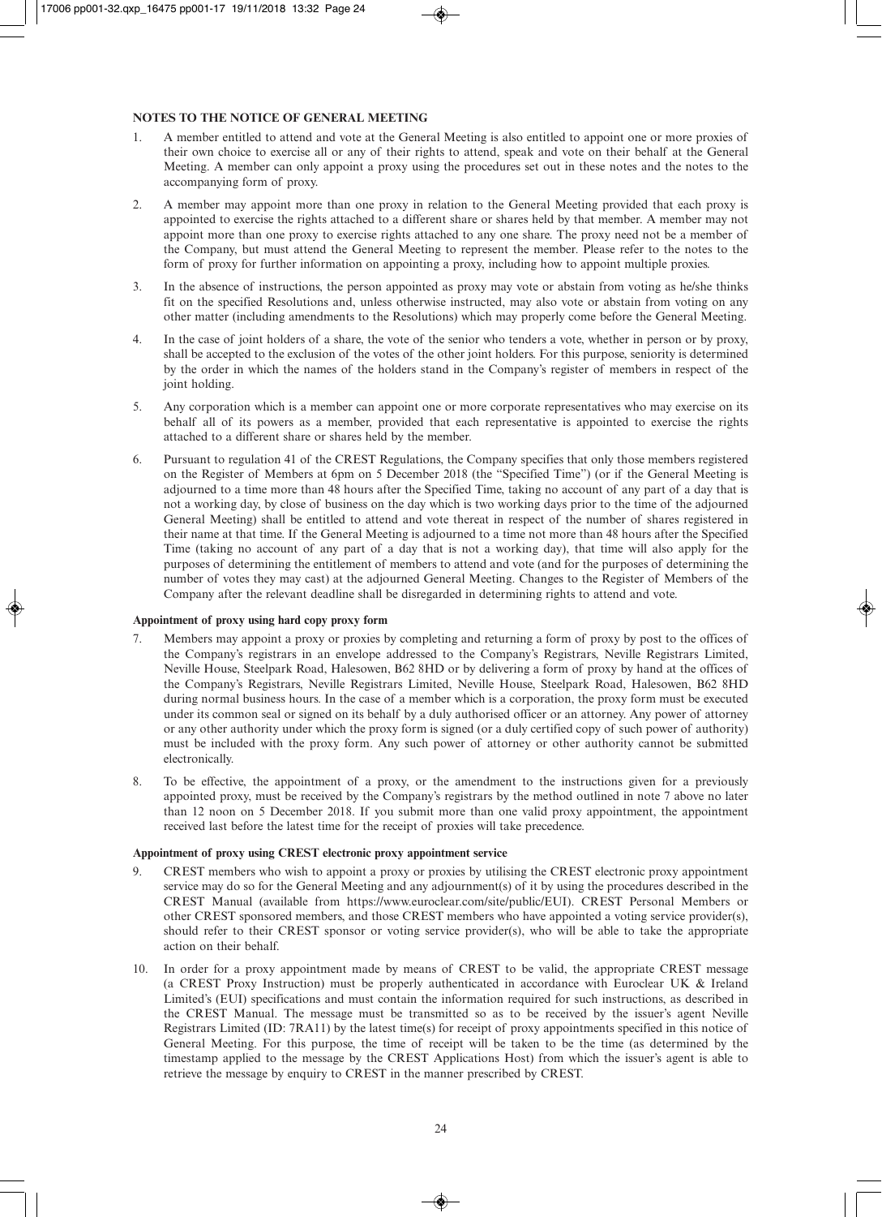#### **NOTES TO THE NOTICE OF GENERAL MEETING**

- 1. A member entitled to attend and vote at the General Meeting is also entitled to appoint one or more proxies of their own choice to exercise all or any of their rights to attend, speak and vote on their behalf at the General Meeting. A member can only appoint a proxy using the procedures set out in these notes and the notes to the accompanying form of proxy.
- 2. A member may appoint more than one proxy in relation to the General Meeting provided that each proxy is appointed to exercise the rights attached to a different share or shares held by that member. A member may not appoint more than one proxy to exercise rights attached to any one share. The proxy need not be a member of the Company, but must attend the General Meeting to represent the member. Please refer to the notes to the form of proxy for further information on appointing a proxy, including how to appoint multiple proxies.
- 3. In the absence of instructions, the person appointed as proxy may vote or abstain from voting as he/she thinks fit on the specified Resolutions and, unless otherwise instructed, may also vote or abstain from voting on any other matter (including amendments to the Resolutions) which may properly come before the General Meeting.
- 4. In the case of joint holders of a share, the vote of the senior who tenders a vote, whether in person or by proxy, shall be accepted to the exclusion of the votes of the other joint holders. For this purpose, seniority is determined by the order in which the names of the holders stand in the Company's register of members in respect of the joint holding.
- 5. Any corporation which is a member can appoint one or more corporate representatives who may exercise on its behalf all of its powers as a member, provided that each representative is appointed to exercise the rights attached to a different share or shares held by the member.
- 6. Pursuant to regulation 41 of the CREST Regulations, the Company specifies that only those members registered on the Register of Members at 6pm on 5 December 2018 (the "Specified Time") (or if the General Meeting is adjourned to a time more than 48 hours after the Specified Time, taking no account of any part of a day that is not a working day, by close of business on the day which is two working days prior to the time of the adjourned General Meeting) shall be entitled to attend and vote thereat in respect of the number of shares registered in their name at that time. If the General Meeting is adjourned to a time not more than 48 hours after the Specified Time (taking no account of any part of a day that is not a working day), that time will also apply for the purposes of determining the entitlement of members to attend and vote (and for the purposes of determining the number of votes they may cast) at the adjourned General Meeting. Changes to the Register of Members of the Company after the relevant deadline shall be disregarded in determining rights to attend and vote.

#### **Appointment of proxy using hard copy proxy form**

- 7. Members may appoint a proxy or proxies by completing and returning a form of proxy by post to the offices of the Company's registrars in an envelope addressed to the Company's Registrars, Neville Registrars Limited, Neville House, Steelpark Road, Halesowen, B62 8HD or by delivering a form of proxy by hand at the offices of the Company's Registrars, Neville Registrars Limited, Neville House, Steelpark Road, Halesowen, B62 8HD during normal business hours. In the case of a member which is a corporation, the proxy form must be executed under its common seal or signed on its behalf by a duly authorised officer or an attorney. Any power of attorney or any other authority under which the proxy form is signed (or a duly certified copy of such power of authority) must be included with the proxy form. Any such power of attorney or other authority cannot be submitted electronically.
- 8. To be effective, the appointment of a proxy, or the amendment to the instructions given for a previously appointed proxy, must be received by the Company's registrars by the method outlined in note 7 above no later than 12 noon on 5 December 2018. If you submit more than one valid proxy appointment, the appointment received last before the latest time for the receipt of proxies will take precedence.

#### **Appointment of proxy using CREST electronic proxy appointment service**

- 9. CREST members who wish to appoint a proxy or proxies by utilising the CREST electronic proxy appointment service may do so for the General Meeting and any adjournment(s) of it by using the procedures described in the CREST Manual (available from https://www.euroclear.com/site/public/EUI). CREST Personal Members or other CREST sponsored members, and those CREST members who have appointed a voting service provider(s), should refer to their CREST sponsor or voting service provider(s), who will be able to take the appropriate action on their behalf.
- 10. In order for a proxy appointment made by means of CREST to be valid, the appropriate CREST message (a CREST Proxy Instruction) must be properly authenticated in accordance with Euroclear UK & Ireland Limited's (EUI) specifications and must contain the information required for such instructions, as described in the CREST Manual. The message must be transmitted so as to be received by the issuer's agent Neville Registrars Limited (ID: 7RA11) by the latest time(s) for receipt of proxy appointments specified in this notice of General Meeting. For this purpose, the time of receipt will be taken to be the time (as determined by the timestamp applied to the message by the CREST Applications Host) from which the issuer's agent is able to retrieve the message by enquiry to CREST in the manner prescribed by CREST.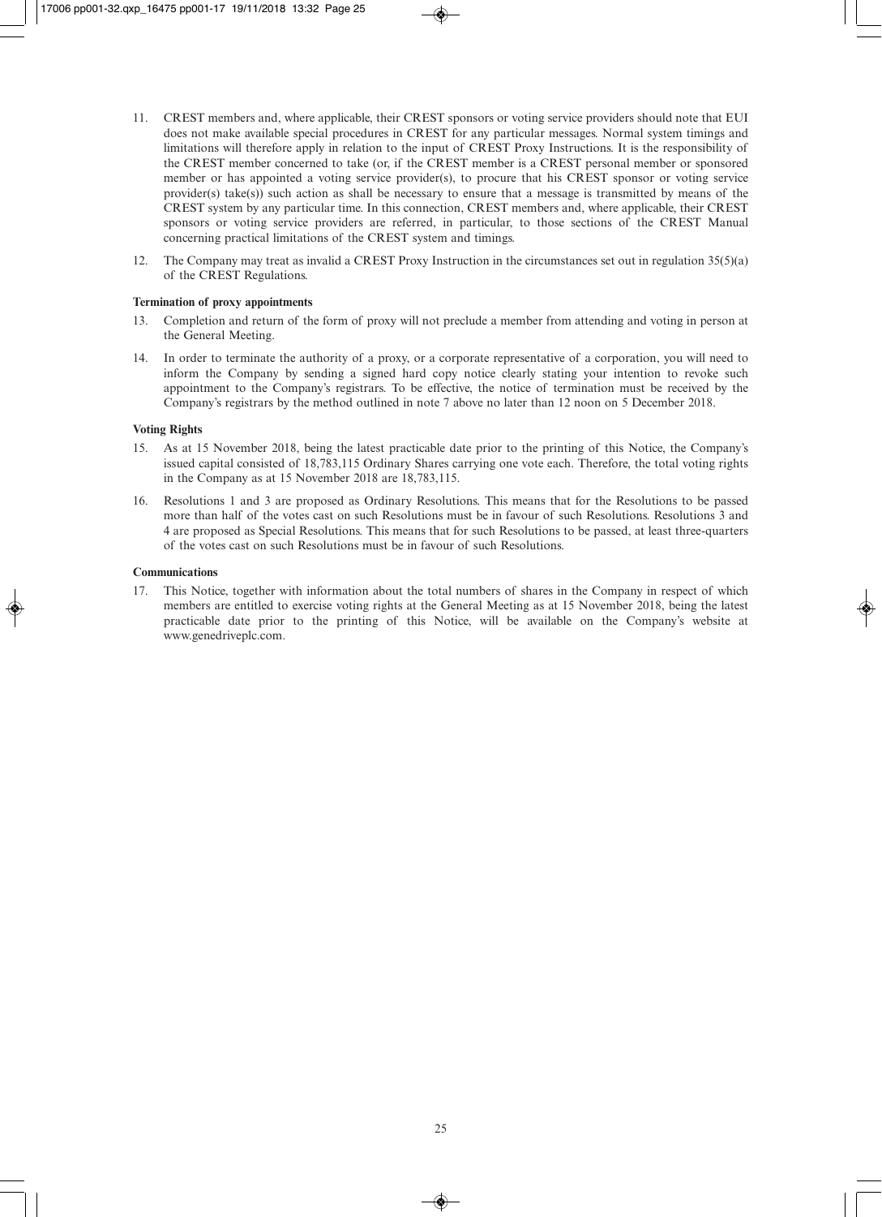- 11. CREST members and, where applicable, their CREST sponsors or voting service providers should note that EUI does not make available special procedures in CREST for any particular messages. Normal system timings and limitations will therefore apply in relation to the input of CREST Proxy Instructions. It is the responsibility of the CREST member concerned to take (or, if the CREST member is a CREST personal member or sponsored member or has appointed a voting service provider(s), to procure that his CREST sponsor or voting service provider(s) take(s)) such action as shall be necessary to ensure that a message is transmitted by means of the CREST system by any particular time. In this connection, CREST members and, where applicable, their CREST sponsors or voting service providers are referred, in particular, to those sections of the CREST Manual concerning practical limitations of the CREST system and timings.
- 12. The Company may treat as invalid a CREST Proxy Instruction in the circumstances set out in regulation 35(5)(a) of the CREST Regulations.

#### **Termination of proxy appointments**

- 13. Completion and return of the form of proxy will not preclude a member from attending and voting in person at the General Meeting.
- 14. In order to terminate the authority of a proxy, or a corporate representative of a corporation, you will need to inform the Company by sending a signed hard copy notice clearly stating your intention to revoke such appointment to the Company's registrars. To be effective, the notice of termination must be received by the Company's registrars by the method outlined in note 7 above no later than 12 noon on 5 December 2018.

#### **Voting Rights**

- 15. As at 15 November 2018, being the latest practicable date prior to the printing of this Notice, the Company's issued capital consisted of 18,783,115 Ordinary Shares carrying one vote each. Therefore, the total voting rights in the Company as at 15 November 2018 are 18,783,115.
- 16. Resolutions 1 and 3 are proposed as Ordinary Resolutions. This means that for the Resolutions to be passed more than half of the votes cast on such Resolutions must be in favour of such Resolutions. Resolutions 3 and 4 are proposed as Special Resolutions. This means that for such Resolutions to be passed, at least three-quarters of the votes cast on such Resolutions must be in favour of such Resolutions.

#### **Communications**

17. This Notice, together with information about the total numbers of shares in the Company in respect of which members are entitled to exercise voting rights at the General Meeting as at 15 November 2018, being the latest practicable date prior to the printing of this Notice, will be available on the Company's website at www.genedriveplc.com.